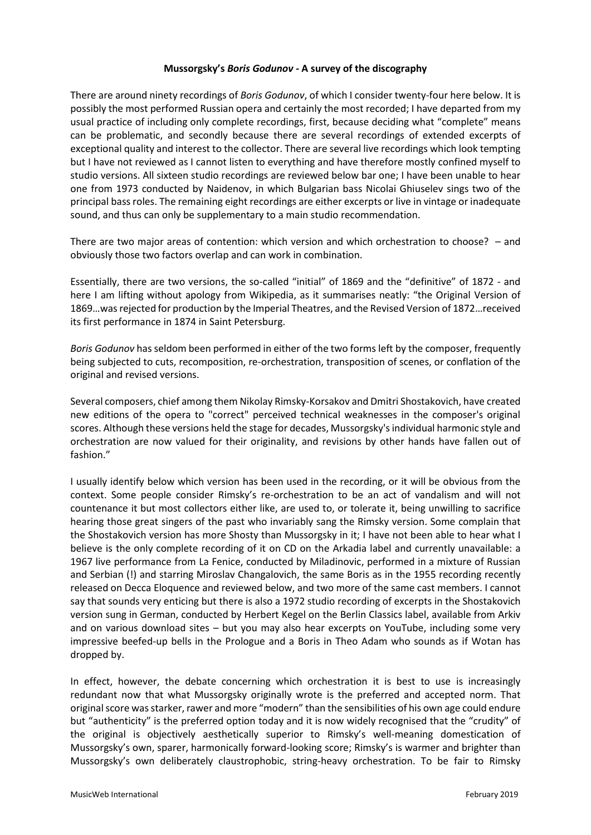### **Mussorgsky's** *Boris Godunov -* **A survey of the discography**

There are around ninety recordings of *Boris Godunov*, of which I consider twenty-four here below. It is possibly the most performed Russian opera and certainly the most recorded; I have departed from my usual practice of including only complete recordings, first, because deciding what "complete" means can be problematic, and secondly because there are several recordings of extended excerpts of exceptional quality and interest to the collector. There are several live recordings which look tempting but I have not reviewed as I cannot listen to everything and have therefore mostly confined myself to studio versions. All sixteen studio recordings are reviewed below bar one; I have been unable to hear one from 1973 conducted by Naidenov, in which Bulgarian bass Nicolai Ghiuselev sings two of the principal bass roles. The remaining eight recordings are either excerpts or live in vintage or inadequate sound, and thus can only be supplementary to a main studio recommendation.

There are two major areas of contention: which version and which orchestration to choose? – and obviously those two factors overlap and can work in combination.

Essentially, there are two versions, the so-called "initial" of 1869 and the "definitive" of 1872 - and here I am lifting without apology from Wikipedia, as it summarises neatly: "the Original Version of 1869…was rejected for production by the Imperial Theatres, and the Revised Version of 1872…received its first performance in 1874 in Saint Petersburg.

*Boris Godunov* has seldom been performed in either of the two forms left by the composer, frequently being subjected to cuts, recomposition, re-orchestration, transposition of scenes, or conflation of the original and revised versions.

Several composers, chief among them Nikolay Rimsky-Korsakov and Dmitri Shostakovich, have created new editions of the opera to "correct" perceived technical weaknesses in the composer's original scores. Although these versions held the stage for decades, Mussorgsky's individual harmonic style and orchestration are now valued for their originality, and revisions by other hands have fallen out of fashion."

I usually identify below which version has been used in the recording, or it will be obvious from the context. Some people consider Rimsky's re-orchestration to be an act of vandalism and will not countenance it but most collectors either like, are used to, or tolerate it, being unwilling to sacrifice hearing those great singers of the past who invariably sang the Rimsky version. Some complain that the Shostakovich version has more Shosty than Mussorgsky in it; I have not been able to hear what I believe is the only complete recording of it on CD on the Arkadia label and currently unavailable: a 1967 live performance from La Fenice, conducted by Miladinovic, performed in a mixture of Russian and Serbian (!) and starring Miroslav Changalovich, the same Boris as in the 1955 recording recently released on Decca Eloquence and reviewed below, and two more of the same cast members. I cannot say that sounds very enticing but there is also a 1972 studio recording of excerpts in the Shostakovich version sung in German, conducted by Herbert Kegel on the Berlin Classics label, available from Arkiv and on various download sites – but you may also hear excerpts on YouTube, including some very impressive beefed-up bells in the Prologue and a Boris in Theo Adam who sounds as if Wotan has dropped by.

In effect, however, the debate concerning which orchestration it is best to use is increasingly redundant now that what Mussorgsky originally wrote is the preferred and accepted norm. That original score was starker, rawer and more "modern" than the sensibilities of his own age could endure but "authenticity" is the preferred option today and it is now widely recognised that the "crudity" of the original is objectively aesthetically superior to Rimsky's well-meaning domestication of Mussorgsky's own, sparer, harmonically forward-looking score; Rimsky's is warmer and brighter than Mussorgsky's own deliberately claustrophobic, string-heavy orchestration. To be fair to Rimsky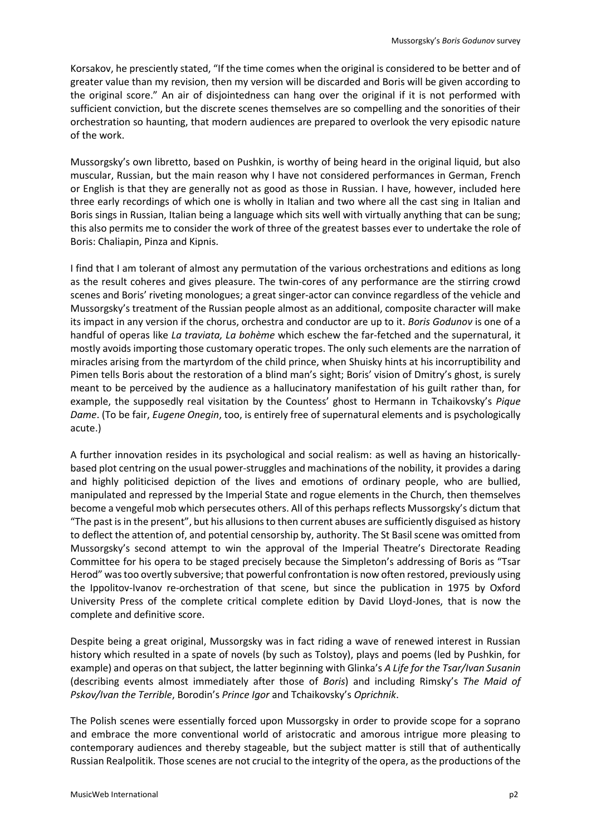Korsakov, he presciently stated, "If the time comes when the original is considered to be better and of greater value than my revision, then my version will be discarded and Boris will be given according to the original score." An air of disjointedness can hang over the original if it is not performed with sufficient conviction, but the discrete scenes themselves are so compelling and the sonorities of their orchestration so haunting, that modern audiences are prepared to overlook the very episodic nature of the work.

Mussorgsky's own libretto, based on Pushkin, is worthy of being heard in the original liquid, but also muscular, Russian, but the main reason why I have not considered performances in German, French or English is that they are generally not as good as those in Russian. I have, however, included here three early recordings of which one is wholly in Italian and two where all the cast sing in Italian and Boris sings in Russian, Italian being a language which sits well with virtually anything that can be sung; this also permits me to consider the work of three of the greatest basses ever to undertake the role of Boris: Chaliapin, Pinza and Kipnis.

I find that I am tolerant of almost any permutation of the various orchestrations and editions as long as the result coheres and gives pleasure. The twin-cores of any performance are the stirring crowd scenes and Boris' riveting monologues; a great singer-actor can convince regardless of the vehicle and Mussorgsky's treatment of the Russian people almost as an additional, composite character will make its impact in any version if the chorus, orchestra and conductor are up to it. *Boris Godunov* is one of a handful of operas like *La traviata, La bohème* which eschew the far-fetched and the supernatural, it mostly avoids importing those customary operatic tropes. The only such elements are the narration of miracles arising from the martyrdom of the child prince, when Shuisky hints at his incorruptibility and Pimen tells Boris about the restoration of a blind man's sight; Boris' vision of Dmitry's ghost, is surely meant to be perceived by the audience as a hallucinatory manifestation of his guilt rather than, for example, the supposedly real visitation by the Countess' ghost to Hermann in Tchaikovsky's *Pique Dame*. (To be fair, *Eugene Onegin*, too, is entirely free of supernatural elements and is psychologically acute.)

A further innovation resides in its psychological and social realism: as well as having an historicallybased plot centring on the usual power-struggles and machinations of the nobility, it provides a daring and highly politicised depiction of the lives and emotions of ordinary people, who are bullied, manipulated and repressed by the Imperial State and rogue elements in the Church, then themselves become a vengeful mob which persecutes others. All of this perhaps reflects Mussorgsky's dictum that "The past is in the present", but his allusions to then current abuses are sufficiently disguised as history to deflect the attention of, and potential censorship by, authority. The St Basil scene was omitted from Mussorgsky's second attempt to win the approval of the Imperial Theatre's Directorate Reading Committee for his opera to be staged precisely because the Simpleton's addressing of Boris as "Tsar Herod" was too overtly subversive; that powerful confrontation is now often restored, previously using the Ippolitov-Ivanov re-orchestration of that scene, but since the publication in 1975 by Oxford University Press of the complete critical complete edition by David Lloyd-Jones, that is now the complete and definitive score.

Despite being a great original, Mussorgsky was in fact riding a wave of renewed interest in Russian history which resulted in a spate of novels (by such as Tolstoy), plays and poems (led by Pushkin, for example) and operas on that subject, the latter beginning with Glinka's *A Life for the Tsar/Ivan Susanin* (describing events almost immediately after those of *Boris*) and including Rimsky's *The Maid of Pskov/Ivan the Terrible*, Borodin's *Prince Igor* and Tchaikovsky's *Oprichnik*.

The Polish scenes were essentially forced upon Mussorgsky in order to provide scope for a soprano and embrace the more conventional world of aristocratic and amorous intrigue more pleasing to contemporary audiences and thereby stageable, but the subject matter is still that of authentically Russian Realpolitik. Those scenes are not crucial to the integrity of the opera, as the productions of the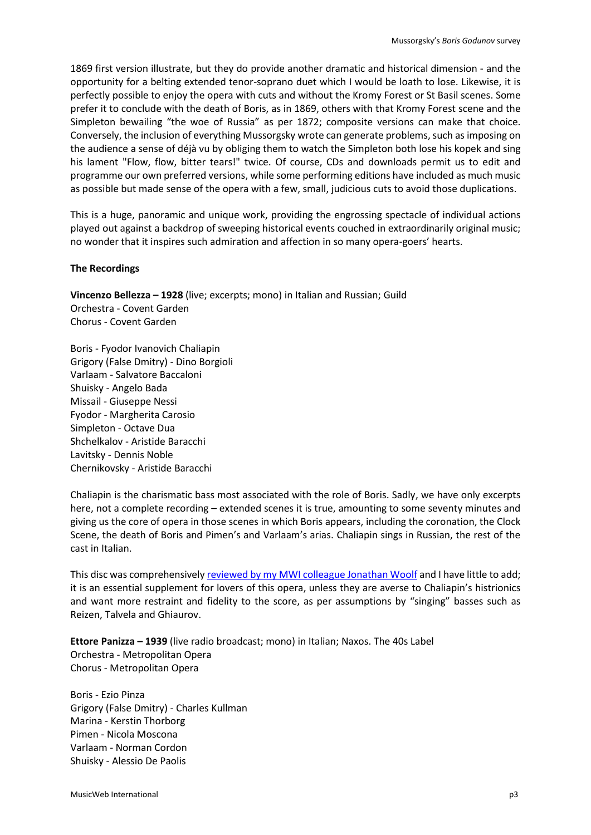1869 first version illustrate, but they do provide another dramatic and historical dimension - and the opportunity for a belting extended tenor-soprano duet which I would be loath to lose. Likewise, it is perfectly possible to enjoy the opera with cuts and without the Kromy Forest or St Basil scenes. Some prefer it to conclude with the death of Boris, as in 1869, others with that Kromy Forest scene and the Simpleton bewailing "the woe of Russia" as per 1872; composite versions can make that choice. Conversely, the inclusion of everything Mussorgsky wrote can generate problems, such as imposing on the audience a sense of déjà vu by obliging them to watch the Simpleton both lose his kopek and sing his lament "Flow, flow, bitter tears!" twice. Of course, CDs and downloads permit us to edit and programme our own preferred versions, while some performing editions have included as much music as possible but made sense of the opera with a few, small, judicious cuts to avoid those duplications.

This is a huge, panoramic and unique work, providing the engrossing spectacle of individual actions played out against a backdrop of sweeping historical events couched in extraordinarily original music; no wonder that it inspires such admiration and affection in so many opera-goers' hearts.

### **The Recordings**

**Vincenzo Bellezza – 1928** (live; excerpts; mono) in Italian and Russian; Guild Orchestra - Covent Garden Chorus - Covent Garden

Boris - Fyodor Ivanovich Chaliapin Grigory (False Dmitry) - Dino Borgioli Varlaam - Salvatore Baccaloni Shuisky - Angelo Bada Missail - Giuseppe Nessi Fyodor - Margherita Carosio Simpleton - Octave Dua Shchelkalov - Aristide Baracchi Lavitsky - Dennis Noble Chernikovsky - Aristide Baracchi

Chaliapin is the charismatic bass most associated with the role of Boris. Sadly, we have only excerpts here, not a complete recording – extended scenes it is true, amounting to some seventy minutes and giving us the core of opera in those scenes in which Boris appears, including the coronation, the Clock Scene, the death of Boris and Pimen's and Varlaam's arias. Chaliapin sings in Russian, the rest of the cast in Italian.

This disc was comprehensivel[y reviewed by my MWI colleague Jonathan Woolf](http://www.musicweb-international.com/classrev/2002/Oct02/Muss_Boris_Guild.htm) and I have little to add; it is an essential supplement for lovers of this opera, unless they are averse to Chaliapin's histrionics and want more restraint and fidelity to the score, as per assumptions by "singing" basses such as Reizen, Talvela and Ghiaurov.

**Ettore Panizza – 1939** (live radio broadcast; mono) in Italian; Naxos. The 40s Label Orchestra - Metropolitan Opera Chorus - Metropolitan Opera

Boris - Ezio Pinza Grigory (False Dmitry) - Charles Kullman Marina - Kerstin Thorborg Pimen - Nicola Moscona Varlaam - Norman Cordon Shuisky - Alessio De Paolis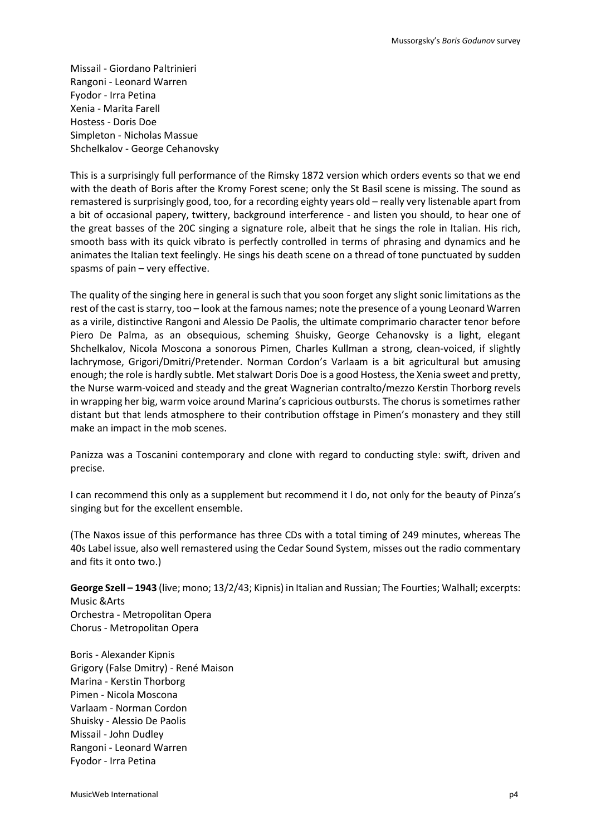Missail - Giordano Paltrinieri Rangoni - Leonard Warren Fyodor - Irra Petina Xenia - Marita Farell Hostess - Doris Doe Simpleton - Nicholas Massue Shchelkalov - George Cehanovsky

This is a surprisingly full performance of the Rimsky 1872 version which orders events so that we end with the death of Boris after the Kromy Forest scene; only the St Basil scene is missing. The sound as remastered is surprisingly good, too, for a recording eighty years old – really very listenable apart from a bit of occasional papery, twittery, background interference - and listen you should, to hear one of the great basses of the 20C singing a signature role, albeit that he sings the role in Italian. His rich, smooth bass with its quick vibrato is perfectly controlled in terms of phrasing and dynamics and he animates the Italian text feelingly. He sings his death scene on a thread of tone punctuated by sudden spasms of pain – very effective.

The quality of the singing here in general is such that you soon forget any slight sonic limitations as the rest of the cast is starry, too – look at the famous names; note the presence of a young Leonard Warren as a virile, distinctive Rangoni and Alessio De Paolis, the ultimate comprimario character tenor before Piero De Palma, as an obsequious, scheming Shuisky, George Cehanovsky is a light, elegant Shchelkalov, Nicola Moscona a sonorous Pimen, Charles Kullman a strong, clean-voiced, if slightly lachrymose, Grigori/Dmitri/Pretender. Norman Cordon's Varlaam is a bit agricultural but amusing enough; the role is hardly subtle. Met stalwart Doris Doe is a good Hostess, the Xenia sweet and pretty, the Nurse warm-voiced and steady and the great Wagnerian contralto/mezzo Kerstin Thorborg revels in wrapping her big, warm voice around Marina's capricious outbursts. The chorus is sometimes rather distant but that lends atmosphere to their contribution offstage in Pimen's monastery and they still make an impact in the mob scenes.

Panizza was a Toscanini contemporary and clone with regard to conducting style: swift, driven and precise.

I can recommend this only as a supplement but recommend it I do, not only for the beauty of Pinza's singing but for the excellent ensemble.

(The Naxos issue of this performance has three CDs with a total timing of 249 minutes, whereas The 40s Label issue, also well remastered using the Cedar Sound System, misses out the radio commentary and fits it onto two.)

**George Szell – 1943** (live; mono; 13/2/43; Kipnis) in Italian and Russian; The Fourties; Walhall; excerpts: Music &Arts Orchestra - Metropolitan Opera Chorus - Metropolitan Opera

Boris - Alexander Kipnis Grigory (False Dmitry) - René Maison Marina - Kerstin Thorborg Pimen - Nicola Moscona Varlaam - Norman Cordon Shuisky - Alessio De Paolis Missail - John Dudley Rangoni - Leonard Warren Fyodor - Irra Petina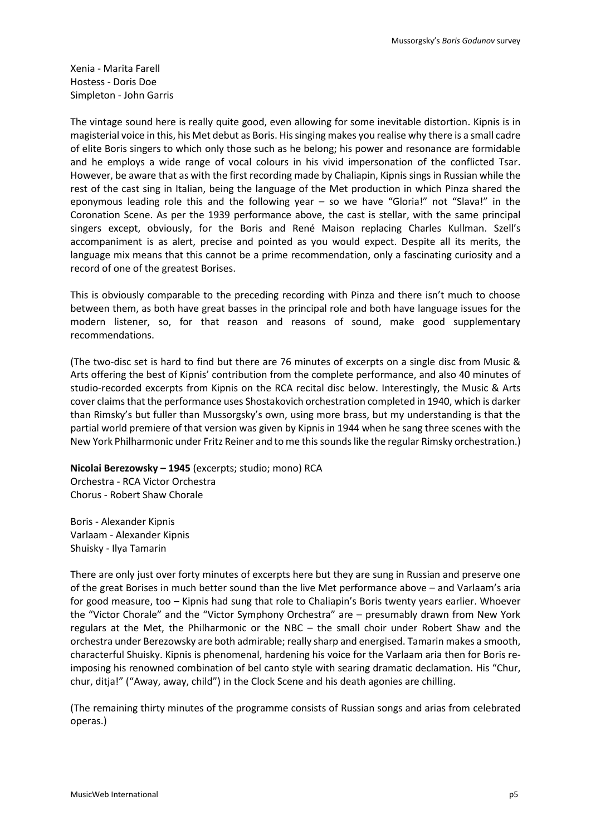Xenia - Marita Farell Hostess - Doris Doe Simpleton - John Garris

The vintage sound here is really quite good, even allowing for some inevitable distortion. Kipnis is in magisterial voice in this, his Met debut as Boris. His singing makes you realise why there is a small cadre of elite Boris singers to which only those such as he belong; his power and resonance are formidable and he employs a wide range of vocal colours in his vivid impersonation of the conflicted Tsar. However, be aware that as with the first recording made by Chaliapin, Kipnis sings in Russian while the rest of the cast sing in Italian, being the language of the Met production in which Pinza shared the eponymous leading role this and the following year – so we have "Gloria!" not "Slava!" in the Coronation Scene. As per the 1939 performance above, the cast is stellar, with the same principal singers except, obviously, for the Boris and René Maison replacing Charles Kullman. Szell's accompaniment is as alert, precise and pointed as you would expect. Despite all its merits, the language mix means that this cannot be a prime recommendation, only a fascinating curiosity and a record of one of the greatest Borises.

This is obviously comparable to the preceding recording with Pinza and there isn't much to choose between them, as both have great basses in the principal role and both have language issues for the modern listener, so, for that reason and reasons of sound, make good supplementary recommendations.

(The two-disc set is hard to find but there are 76 minutes of excerpts on a single disc from Music & Arts offering the best of Kipnis' contribution from the complete performance, and also 40 minutes of studio-recorded excerpts from Kipnis on the RCA recital disc below. Interestingly, the Music & Arts cover claims that the performance uses Shostakovich orchestration completed in 1940, which is darker than Rimsky's but fuller than Mussorgsky's own, using more brass, but my understanding is that the partial world premiere of that version was given by Kipnis in 1944 when he sang three scenes with the New York Philharmonic under Fritz Reiner and to me this sounds like the regular Rimsky orchestration.)

**Nicolai Berezowsky – 1945** (excerpts; studio; mono) RCA Orchestra - RCA Victor Orchestra Chorus - Robert Shaw Chorale

Boris - Alexander Kipnis Varlaam - Alexander Kipnis Shuisky - Ilya Tamarin

There are only just over forty minutes of excerpts here but they are sung in Russian and preserve one of the great Borises in much better sound than the live Met performance above – and Varlaam's aria for good measure, too – Kipnis had sung that role to Chaliapin's Boris twenty years earlier. Whoever the "Victor Chorale" and the "Victor Symphony Orchestra" are – presumably drawn from New York regulars at the Met, the Philharmonic or the NBC – the small choir under Robert Shaw and the orchestra under Berezowsky are both admirable; really sharp and energised. Tamarin makes a smooth, characterful Shuisky. Kipnis is phenomenal, hardening his voice for the Varlaam aria then for Boris reimposing his renowned combination of bel canto style with searing dramatic declamation. His "Chur, chur, ditja!" ("Away, away, child") in the Clock Scene and his death agonies are chilling.

(The remaining thirty minutes of the programme consists of Russian songs and arias from celebrated operas.)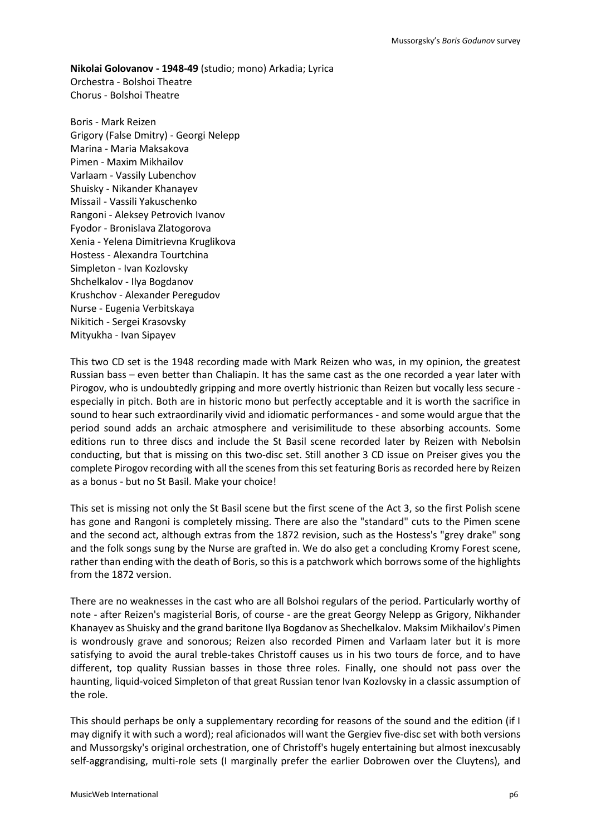# **Nikolai Golovanov - 1948-49** (studio; mono) Arkadia; Lyrica Orchestra - Bolshoi Theatre Chorus - Bolshoi Theatre

Boris - Mark Reizen Grigory (False Dmitry) - Georgi Nelepp Marina - Maria Maksakova Pimen - Maxim Mikhailov Varlaam - Vassily Lubenchov Shuisky - Nikander Khanayev Missail - Vassili Yakuschenko Rangoni - Aleksey Petrovich Ivanov Fyodor - Bronislava Zlatogorova Xenia - Yelena Dimitrievna Kruglikova Hostess - Alexandra Tourtchina Simpleton - Ivan Kozlovsky Shchelkalov - Ilya Bogdanov Krushchov - Alexander Peregudov Nurse - Eugenia Verbitskaya Nikitich - Sergei Krasovsky Mityukha - Ivan Sipayev

This two CD set is the 1948 recording made with Mark Reizen who was, in my opinion, the greatest Russian bass – even better than Chaliapin. It has the same cast as the one recorded a year later with Pirogov, who is undoubtedly gripping and more overtly histrionic than Reizen but vocally less secure especially in pitch. Both are in historic mono but perfectly acceptable and it is worth the sacrifice in sound to hear such extraordinarily vivid and idiomatic performances - and some would argue that the period sound adds an archaic atmosphere and verisimilitude to these absorbing accounts. Some editions run to three discs and include the St Basil scene recorded later by Reizen with Nebolsin conducting, but that is missing on this two-disc set. Still another 3 CD issue on Preiser gives you the complete Pirogov recording with all the scenes from this set featuring Boris as recorded here by Reizen as a bonus - but no St Basil. Make your choice!

This set is missing not only the St Basil scene but the first scene of the Act 3, so the first Polish scene has gone and Rangoni is completely missing. There are also the "standard" cuts to the Pimen scene and the second act, although extras from the 1872 revision, such as the Hostess's "grey drake" song and the folk songs sung by the Nurse are grafted in. We do also get a concluding Kromy Forest scene, rather than ending with the death of Boris, so this is a patchwork which borrows some of the highlights from the 1872 version.

There are no weaknesses in the cast who are all Bolshoi regulars of the period. Particularly worthy of note - after Reizen's magisterial Boris, of course - are the great Georgy Nelepp as Grigory, Nikhander Khanayev as Shuisky and the grand baritone Ilya Bogdanov as Shechelkalov. Maksim Mikhailov's Pimen is wondrously grave and sonorous; Reizen also recorded Pimen and Varlaam later but it is more satisfying to avoid the aural treble-takes Christoff causes us in his two tours de force, and to have different, top quality Russian basses in those three roles. Finally, one should not pass over the haunting, liquid-voiced Simpleton of that great Russian tenor Ivan Kozlovsky in a classic assumption of the role.

This should perhaps be only a supplementary recording for reasons of the sound and the edition (if I may dignify it with such a word); real aficionados will want the Gergiev five-disc set with both versions and Mussorgsky's original orchestration, one of Christoff's hugely entertaining but almost inexcusably self-aggrandising, multi-role sets (I marginally prefer the earlier Dobrowen over the Cluytens), and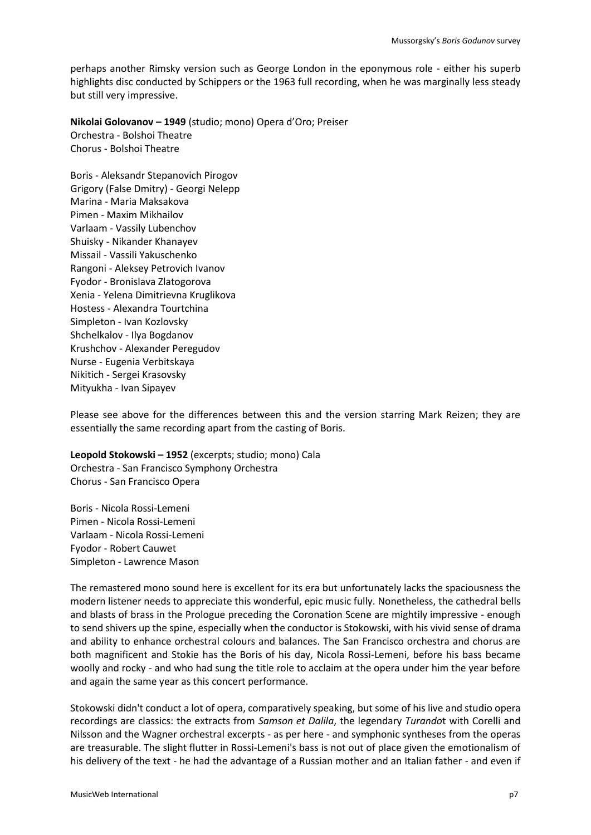perhaps another Rimsky version such as George London in the eponymous role - either his superb highlights disc conducted by Schippers or the 1963 full recording, when he was marginally less steady but still very impressive.

**Nikolai Golovanov – 1949** (studio; mono) Opera d'Oro; Preiser Orchestra - Bolshoi Theatre Chorus - Bolshoi Theatre

Boris - Aleksandr Stepanovich Pirogov Grigory (False Dmitry) - Georgi Nelepp Marina - Maria Maksakova Pimen - Maxim Mikhailov Varlaam - Vassily Lubenchov Shuisky - Nikander Khanayev Missail - Vassili Yakuschenko Rangoni - Aleksey Petrovich Ivanov Fyodor - Bronislava Zlatogorova Xenia - Yelena Dimitrievna Kruglikova Hostess - Alexandra Tourtchina Simpleton - Ivan Kozlovsky Shchelkalov - Ilya Bogdanov Krushchov - Alexander Peregudov Nurse - Eugenia Verbitskaya Nikitich - Sergei Krasovsky Mityukha - Ivan Sipayev

Please see above for the differences between this and the version starring Mark Reizen; they are essentially the same recording apart from the casting of Boris.

**Leopold Stokowski – 1952** (excerpts; studio; mono) Cala Orchestra - San Francisco Symphony Orchestra Chorus - San Francisco Opera

Boris - Nicola Rossi-Lemeni Pimen - Nicola Rossi-Lemeni Varlaam - Nicola Rossi-Lemeni Fyodor - Robert Cauwet Simpleton - Lawrence Mason

The remastered mono sound here is excellent for its era but unfortunately lacks the spaciousness the modern listener needs to appreciate this wonderful, epic music fully. Nonetheless, the cathedral bells and blasts of brass in the Prologue preceding the Coronation Scene are mightily impressive - enough to send shivers up the spine, especially when the conductor is Stokowski, with his vivid sense of drama and ability to enhance orchestral colours and balances. The San Francisco orchestra and chorus are both magnificent and Stokie has the Boris of his day, Nicola Rossi-Lemeni, before his bass became woolly and rocky - and who had sung the title role to acclaim at the opera under him the year before and again the same year as this concert performance.

Stokowski didn't conduct a lot of opera, comparatively speaking, but some of his live and studio opera recordings are classics: the extracts from *Samson et Dalila*, the legendary *Turando*t with Corelli and Nilsson and the Wagner orchestral excerpts - as per here - and symphonic syntheses from the operas are treasurable. The slight flutter in Rossi-Lemeni's bass is not out of place given the emotionalism of his delivery of the text - he had the advantage of a Russian mother and an Italian father - and even if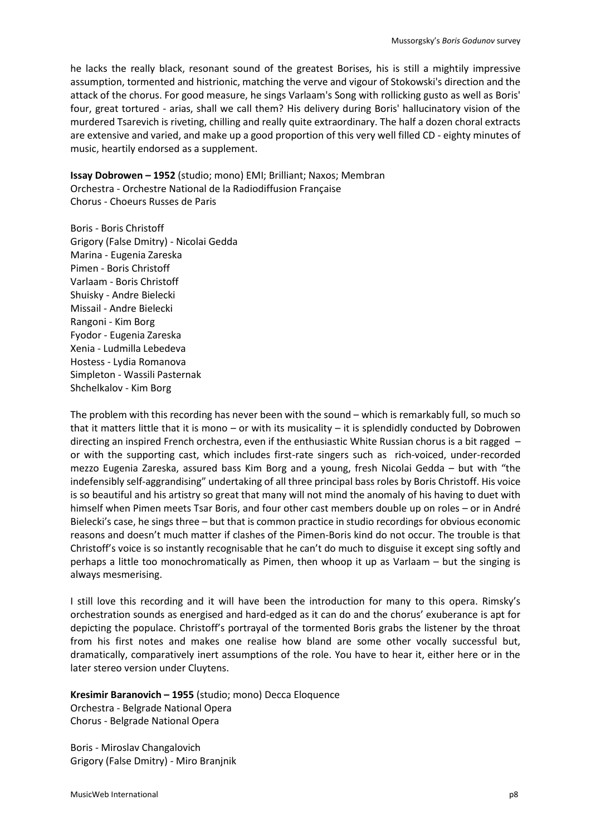he lacks the really black, resonant sound of the greatest Borises, his is still a mightily impressive assumption, tormented and histrionic, matching the verve and vigour of Stokowski's direction and the attack of the chorus. For good measure, he sings Varlaam's Song with rollicking gusto as well as Boris' four, great tortured - arias, shall we call them? His delivery during Boris' hallucinatory vision of the murdered Tsarevich is riveting, chilling and really quite extraordinary. The half a dozen choral extracts are extensive and varied, and make up a good proportion of this very well filled CD - eighty minutes of music, heartily endorsed as a supplement.

**Issay Dobrowen – 1952** (studio; mono) EMI; Brilliant; Naxos; Membran Orchestra - Orchestre National de la Radiodiffusion Française Chorus - Choeurs Russes de Paris

Boris - Boris Christoff Grigory (False Dmitry) - Nicolai Gedda Marina - Eugenia Zareska Pimen - Boris Christoff Varlaam - Boris Christoff Shuisky - Andre Bielecki Missail - Andre Bielecki Rangoni - Kim Borg Fyodor - Eugenia Zareska Xenia - Ludmilla Lebedeva Hostess - Lydia Romanova Simpleton - Wassili Pasternak Shchelkalov - Kim Borg

The problem with this recording has never been with the sound – which is remarkably full, so much so that it matters little that it is mono – or with its musicality – it is splendidly conducted by Dobrowen directing an inspired French orchestra, even if the enthusiastic White Russian chorus is a bit ragged – or with the supporting cast, which includes first-rate singers such as rich-voiced, under-recorded mezzo Eugenia Zareska, assured bass Kim Borg and a young, fresh Nicolai Gedda – but with "the indefensibly self-aggrandising" undertaking of all three principal bass roles by Boris Christoff. His voice is so beautiful and his artistry so great that many will not mind the anomaly of his having to duet with himself when Pimen meets Tsar Boris, and four other cast members double up on roles – or in André Bielecki's case, he sings three – but that is common practice in studio recordings for obvious economic reasons and doesn't much matter if clashes of the Pimen-Boris kind do not occur. The trouble is that Christoff's voice is so instantly recognisable that he can't do much to disguise it except sing softly and perhaps a little too monochromatically as Pimen, then whoop it up as Varlaam – but the singing is always mesmerising.

I still love this recording and it will have been the introduction for many to this opera. Rimsky's orchestration sounds as energised and hard-edged as it can do and the chorus' exuberance is apt for depicting the populace. Christoff's portrayal of the tormented Boris grabs the listener by the throat from his first notes and makes one realise how bland are some other vocally successful but, dramatically, comparatively inert assumptions of the role. You have to hear it, either here or in the later stereo version under Cluytens.

**Kresimir Baranovich – 1955** (studio; mono) Decca Eloquence Orchestra - Belgrade National Opera Chorus - Belgrade National Opera

Boris - Miroslav Changalovich Grigory (False Dmitry) - Miro Branjnik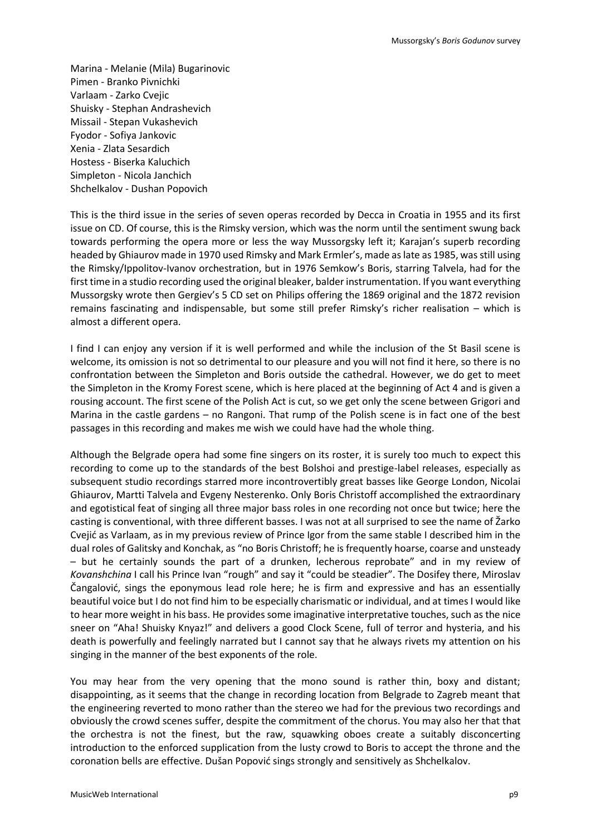Marina - Melanie (Mila) Bugarinovic Pimen - Branko Pivnichki Varlaam - Zarko Cvejic Shuisky - Stephan Andrashevich Missail - Stepan Vukashevich Fyodor - Sofiya Jankovic Xenia - Zlata Sesardich Hostess - Biserka Kaluchich Simpleton - Nicola Janchich Shchelkalov - Dushan Popovich

This is the third issue in the series of seven operas recorded by Decca in Croatia in 1955 and its first issue on CD. Of course, this is the Rimsky version, which was the norm until the sentiment swung back towards performing the opera more or less the way Mussorgsky left it; Karajan's superb recording headed by Ghiaurov made in 1970 used Rimsky and Mark Ermler's, made as late as 1985, was still using the Rimsky/Ippolitov-Ivanov orchestration, but in 1976 Semkow's Boris, starring Talvela, had for the first time in a studio recording used the original bleaker, balder instrumentation. If you want everything Mussorgsky wrote then Gergiev's 5 CD set on Philips offering the 1869 original and the 1872 revision remains fascinating and indispensable, but some still prefer Rimsky's richer realisation – which is almost a different opera.

I find I can enjoy any version if it is well performed and while the inclusion of the St Basil scene is welcome, its omission is not so detrimental to our pleasure and you will not find it here, so there is no confrontation between the Simpleton and Boris outside the cathedral. However, we do get to meet the Simpleton in the Kromy Forest scene, which is here placed at the beginning of Act 4 and is given a rousing account. The first scene of the Polish Act is cut, so we get only the scene between Grigori and Marina in the castle gardens – no Rangoni. That rump of the Polish scene is in fact one of the best passages in this recording and makes me wish we could have had the whole thing.

Although the Belgrade opera had some fine singers on its roster, it is surely too much to expect this recording to come up to the standards of the best Bolshoi and prestige-label releases, especially as subsequent studio recordings starred more incontrovertibly great basses like George London, Nicolai Ghiaurov, Martti Talvela and Evgeny Nesterenko. Only Boris Christoff accomplished the extraordinary and egotistical feat of singing all three major bass roles in one recording not once but twice; here the casting is conventional, with three different basses. I was not at all surprised to see the name of Žarko Cvejić as Varlaam, as in my previous review of Prince Igor from the same stable I described him in the dual roles of Galitsky and Konchak, as "no Boris Christoff; he is frequently hoarse, coarse and unsteady – but he certainly sounds the part of a drunken, lecherous reprobate" and in my review of *Kovanshchina* I call his Prince Ivan "rough" and say it "could be steadier". The Dosifey there, Miroslav Čangalović, sings the eponymous lead role here; he is firm and expressive and has an essentially beautiful voice but I do not find him to be especially charismatic or individual, and at times I would like to hear more weight in his bass. He provides some imaginative interpretative touches, such as the nice sneer on "Aha! Shuisky Knyaz!" and delivers a good Clock Scene, full of terror and hysteria, and his death is powerfully and feelingly narrated but I cannot say that he always rivets my attention on his singing in the manner of the best exponents of the role.

You may hear from the very opening that the mono sound is rather thin, boxy and distant; disappointing, as it seems that the change in recording location from Belgrade to Zagreb meant that the engineering reverted to mono rather than the stereo we had for the previous two recordings and obviously the crowd scenes suffer, despite the commitment of the chorus. You may also her that that the orchestra is not the finest, but the raw, squawking oboes create a suitably disconcerting introduction to the enforced supplication from the lusty crowd to Boris to accept the throne and the coronation bells are effective. Dušan Popović sings strongly and sensitively as Shchelkalov.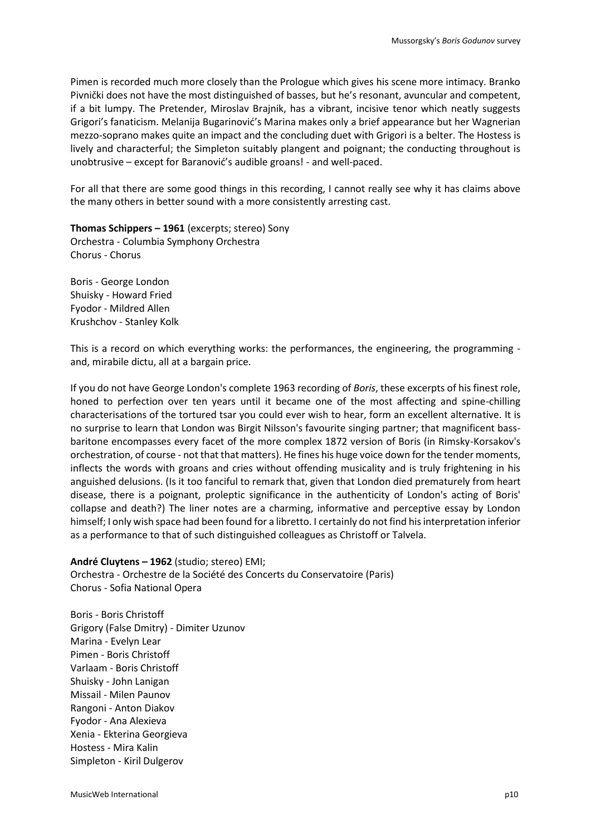Pimen is recorded much more closely than the Prologue which gives his scene more intimacy. Branko Pivnički does not have the most distinguished of basses, but he's resonant, avuncular and competent, if a bit lumpy. The Pretender, Miroslav Brajnik, has a vibrant, incisive tenor which neatly suggests Grigori's fanaticism. Melanija Bugarinović's Marina makes only a brief appearance but her Wagnerian mezzo-soprano makes quite an impact and the concluding duet with Grigori is a belter. The Hostess is lively and characterful; the Simpleton suitably plangent and poignant; the conducting throughout is unobtrusive – except for Baranović's audible groans! - and well-paced.

For all that there are some good things in this recording, I cannot really see why it has claims above the many others in better sound with a more consistently arresting cast.

**Thomas Schippers – 1961** (excerpts; stereo) Sony Orchestra - Columbia Symphony Orchestra Chorus - Chorus

Boris - George London Shuisky - Howard Fried Fyodor - Mildred Allen Krushchov - Stanley Kolk

This is a record on which everything works: the performances, the engineering, the programming and, mirabile dictu, all at a bargain price.

If you do not have George London's complete 1963 recording of *Boris*, these excerpts of his finest role, honed to perfection over ten years until it became one of the most affecting and spine-chilling characterisations of the tortured tsar you could ever wish to hear, form an excellent alternative. It is no surprise to learn that London was Birgit Nilsson's favourite singing partner; that magnificent bassbaritone encompasses every facet of the more complex 1872 version of Boris (in Rimsky-Korsakov's orchestration, of course - not that that matters). He fines his huge voice down for the tender moments, inflects the words with groans and cries without offending musicality and is truly frightening in his anguished delusions. (Is it too fanciful to remark that, given that London died prematurely from heart disease, there is a poignant, proleptic significance in the authenticity of London's acting of Boris' collapse and death?) The liner notes are a charming, informative and perceptive essay by London himself; I only wish space had been found for a libretto. I certainly do not find his interpretation inferior as a performance to that of such distinguished colleagues as Christoff or Talvela.

**André Cluytens – 1962** (studio; stereo) EMI;

Orchestra - Orchestre de la Société des Concerts du Conservatoire (Paris) Chorus - Sofia National Opera

Boris - Boris Christoff Grigory (False Dmitry) - Dimiter Uzunov Marina - Evelyn Lear Pimen - Boris Christoff Varlaam - Boris Christoff Shuisky - John Lanigan Missail - Milen Paunov Rangoni - Anton Diakov Fyodor - Ana Alexieva Xenia - Ekterina Georgieva Hostess - Mira Kalin Simpleton - Kiril Dulgerov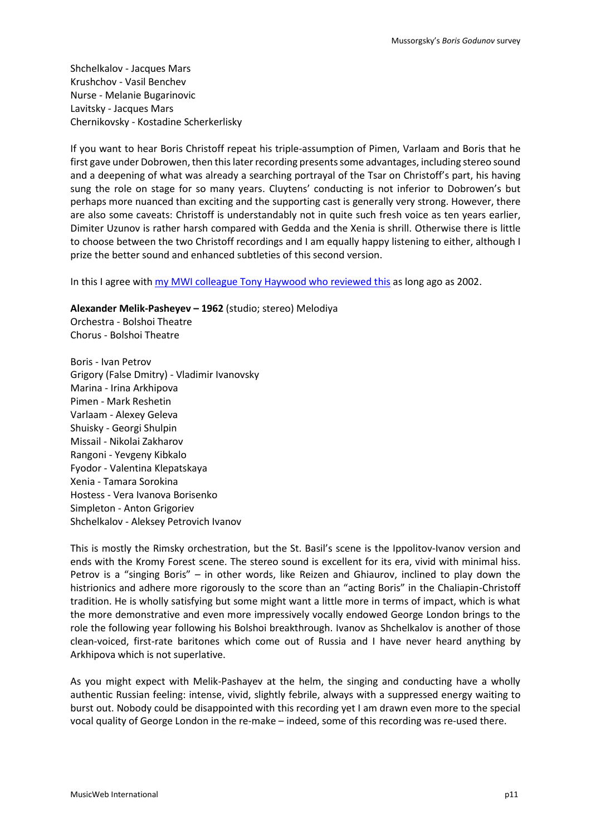Shchelkalov - Jacques Mars Krushchov - Vasil Benchev Nurse - Melanie Bugarinovic Lavitsky - Jacques Mars Chernikovsky - Kostadine Scherkerlisky

If you want to hear Boris Christoff repeat his triple-assumption of Pimen, Varlaam and Boris that he first gave under Dobrowen, then this later recording presents some advantages, including stereo sound and a deepening of what was already a searching portrayal of the Tsar on Christoff's part, his having sung the role on stage for so many years. Cluytens' conducting is not inferior to Dobrowen's but perhaps more nuanced than exciting and the supporting cast is generally very strong. However, there are also some caveats: Christoff is understandably not in quite such fresh voice as ten years earlier, Dimiter Uzunov is rather harsh compared with Gedda and the Xenia is shrill. Otherwise there is little to choose between the two Christoff recordings and I am equally happy listening to either, although I prize the better sound and enhanced subtleties of this second version.

In this I agree with [my MWI colleague Tony Haywood who reviewed this](http://www.musicweb-international.com/classrev/2002/Nov02/BorisGodunov.htm) as long ago as 2002.

### **Alexander Melik-Pasheyev – 1962** (studio; stereo) Melodiya

Orchestra - Bolshoi Theatre Chorus - Bolshoi Theatre

Boris - Ivan Petrov Grigory (False Dmitry) - Vladimir Ivanovsky Marina - Irina Arkhipova Pimen - Mark Reshetin Varlaam - Alexey Geleva Shuisky - Georgi Shulpin Missail - Nikolai Zakharov Rangoni - Yevgeny Kibkalo Fyodor - Valentina Klepatskaya Xenia - Tamara Sorokina Hostess - Vera Ivanova Borisenko Simpleton - Anton Grigoriev Shchelkalov - Aleksey Petrovich Ivanov

This is mostly the Rimsky orchestration, but the St. Basil's scene is the Ippolitov-Ivanov version and ends with the Kromy Forest scene. The stereo sound is excellent for its era, vivid with minimal hiss. Petrov is a "singing Boris" – in other words, like Reizen and Ghiaurov, inclined to play down the histrionics and adhere more rigorously to the score than an "acting Boris" in the Chaliapin-Christoff tradition. He is wholly satisfying but some might want a little more in terms of impact, which is what the more demonstrative and even more impressively vocally endowed George London brings to the role the following year following his Bolshoi breakthrough. Ivanov as Shchelkalov is another of those clean-voiced, first-rate baritones which come out of Russia and I have never heard anything by Arkhipova which is not superlative.

As you might expect with Melik-Pashayev at the helm, the singing and conducting have a wholly authentic Russian feeling: intense, vivid, slightly febrile, always with a suppressed energy waiting to burst out. Nobody could be disappointed with this recording yet I am drawn even more to the special vocal quality of George London in the re-make – indeed, some of this recording was re-used there.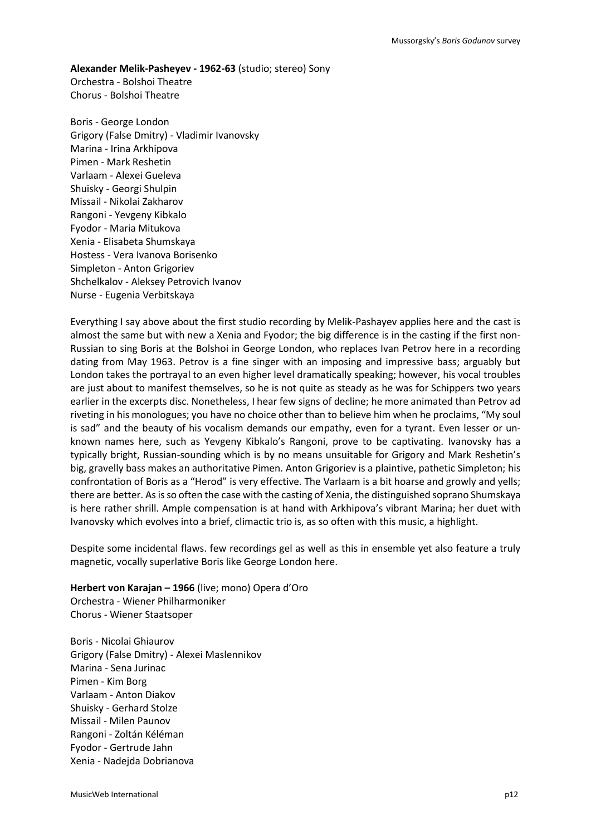## **Alexander Melik-Pasheyev - 1962-63** (studio; stereo) Sony Orchestra - Bolshoi Theatre

Boris - George London Grigory (False Dmitry) - Vladimir Ivanovsky Marina - Irina Arkhipova Pimen - Mark Reshetin Varlaam - Alexei Gueleva Shuisky - Georgi Shulpin Missail - Nikolai Zakharov Rangoni - Yevgeny Kibkalo Fyodor - Maria Mitukova Xenia - Elisabeta Shumskaya Hostess - Vera Ivanova Borisenko Simpleton - Anton Grigoriev Shchelkalov - Aleksey Petrovich Ivanov Nurse - Eugenia Verbitskaya

Chorus - Bolshoi Theatre

Everything I say above about the first studio recording by Melik-Pashayev applies here and the cast is almost the same but with new a Xenia and Fyodor; the big difference is in the casting if the first non-Russian to sing Boris at the Bolshoi in George London, who replaces Ivan Petrov here in a recording dating from May 1963. Petrov is a fine singer with an imposing and impressive bass; arguably but London takes the portrayal to an even higher level dramatically speaking; however, his vocal troubles are just about to manifest themselves, so he is not quite as steady as he was for Schippers two years earlier in the excerpts disc. Nonetheless, I hear few signs of decline; he more animated than Petrov ad riveting in his monologues; you have no choice other than to believe him when he proclaims, "My soul is sad" and the beauty of his vocalism demands our empathy, even for a tyrant. Even lesser or unknown names here, such as Yevgeny Kibkalo's Rangoni, prove to be captivating. Ivanovsky has a typically bright, Russian-sounding which is by no means unsuitable for Grigory and Mark Reshetin's big, gravelly bass makes an authoritative Pimen. Anton Grigoriev is a plaintive, pathetic Simpleton; his confrontation of Boris as a "Herod" is very effective. The Varlaam is a bit hoarse and growly and yells; there are better. As is so often the case with the casting of Xenia, the distinguished soprano Shumskaya is here rather shrill. Ample compensation is at hand with Arkhipova's vibrant Marina; her duet with Ivanovsky which evolves into a brief, climactic trio is, as so often with this music, a highlight.

Despite some incidental flaws. few recordings gel as well as this in ensemble yet also feature a truly magnetic, vocally superlative Boris like George London here.

**Herbert von Karajan – 1966** (live; mono) Opera d'Oro Orchestra - Wiener Philharmoniker Chorus - Wiener Staatsoper

Boris - Nicolai Ghiaurov Grigory (False Dmitry) - Alexei Maslennikov Marina - Sena Jurinac Pimen - Kim Borg Varlaam - Anton Diakov Shuisky - Gerhard Stolze Missail - Milen Paunov Rangoni - Zoltán Kéléman Fyodor - Gertrude Jahn Xenia - Nadejda Dobrianova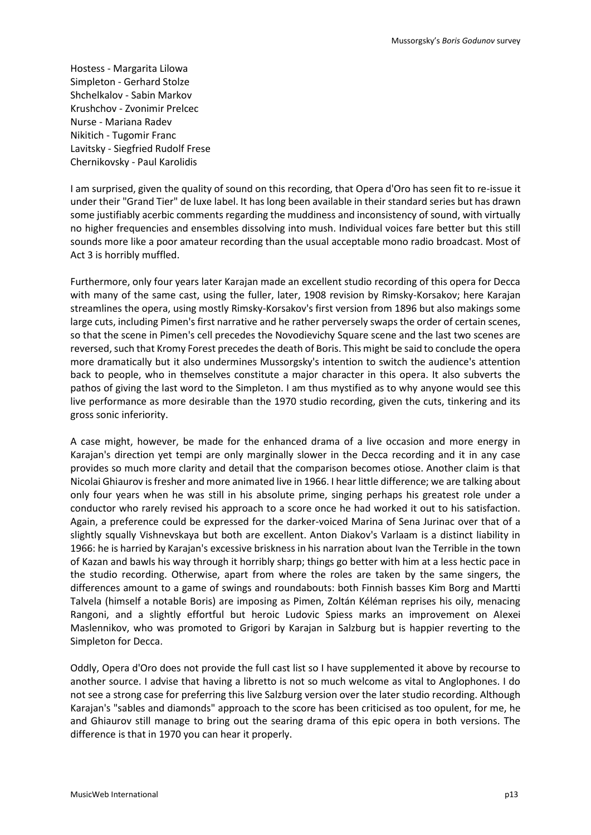Hostess - Margarita Lilowa Simpleton - Gerhard Stolze Shchelkalov - Sabin Markov Krushchov - Zvonimir Prelcec Nurse - Mariana Radev Nikitich - Tugomir Franc Lavitsky - Siegfried Rudolf Frese Chernikovsky - Paul Karolidis

I am surprised, given the quality of sound on this recording, that Opera d'Oro has seen fit to re-issue it under their "Grand Tier" de luxe label. It has long been available in their standard series but has drawn some justifiably acerbic comments regarding the muddiness and inconsistency of sound, with virtually no higher frequencies and ensembles dissolving into mush. Individual voices fare better but this still sounds more like a poor amateur recording than the usual acceptable mono radio broadcast. Most of Act 3 is horribly muffled.

Furthermore, only four years later Karajan made an excellent studio recording of this opera for Decca with many of the same cast, using the fuller, later, 1908 revision by Rimsky-Korsakov; here Karajan streamlines the opera, using mostly Rimsky-Korsakov's first version from 1896 but also makings some large cuts, including Pimen's first narrative and he rather perversely swaps the order of certain scenes, so that the scene in Pimen's cell precedes the Novodievichy Square scene and the last two scenes are reversed, such that Kromy Forest precedes the death of Boris. This might be said to conclude the opera more dramatically but it also undermines Mussorgsky's intention to switch the audience's attention back to people, who in themselves constitute a major character in this opera. It also subverts the pathos of giving the last word to the Simpleton. I am thus mystified as to why anyone would see this live performance as more desirable than the 1970 studio recording, given the cuts, tinkering and its gross sonic inferiority.

A case might, however, be made for the enhanced drama of a live occasion and more energy in Karajan's direction yet tempi are only marginally slower in the Decca recording and it in any case provides so much more clarity and detail that the comparison becomes otiose. Another claim is that Nicolai Ghiaurov is fresher and more animated live in 1966. I hear little difference; we are talking about only four years when he was still in his absolute prime, singing perhaps his greatest role under a conductor who rarely revised his approach to a score once he had worked it out to his satisfaction. Again, a preference could be expressed for the darker-voiced Marina of Sena Jurinac over that of a slightly squally Vishnevskaya but both are excellent. Anton Diakov's Varlaam is a distinct liability in 1966: he is harried by Karajan's excessive briskness in his narration about Ivan the Terrible in the town of Kazan and bawls his way through it horribly sharp; things go better with him at a less hectic pace in the studio recording. Otherwise, apart from where the roles are taken by the same singers, the differences amount to a game of swings and roundabouts: both Finnish basses Kim Borg and Martti Talvela (himself a notable Boris) are imposing as Pimen, Zoltán Kéléman reprises his oily, menacing Rangoni, and a slightly effortful but heroic Ludovic Spiess marks an improvement on Alexei Maslennikov, who was promoted to Grigori by Karajan in Salzburg but is happier reverting to the Simpleton for Decca.

Oddly, Opera d'Oro does not provide the full cast list so I have supplemented it above by recourse to another source. I advise that having a libretto is not so much welcome as vital to Anglophones. I do not see a strong case for preferring this live Salzburg version over the later studio recording. Although Karajan's "sables and diamonds" approach to the score has been criticised as too opulent, for me, he and Ghiaurov still manage to bring out the searing drama of this epic opera in both versions. The difference is that in 1970 you can hear it properly.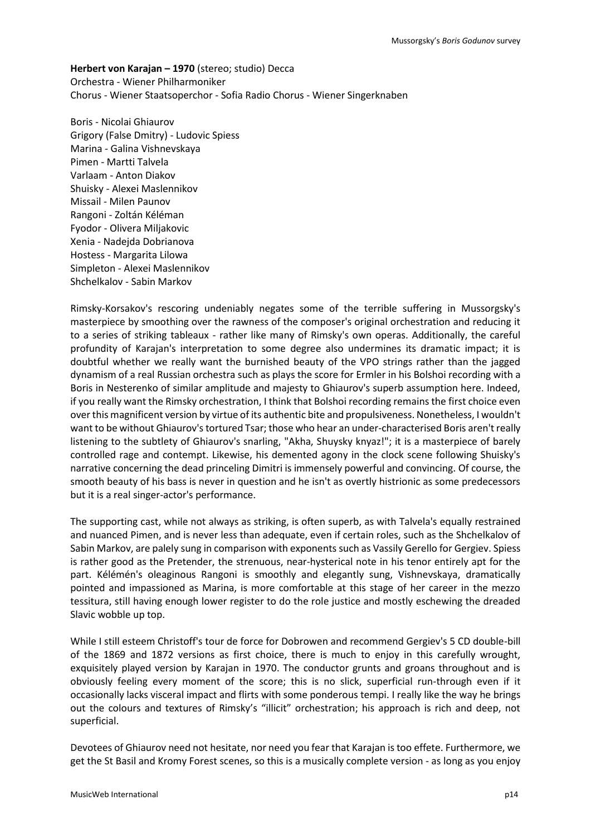**Herbert von Karajan – 1970** (stereo; studio) Decca Orchestra - Wiener Philharmoniker Chorus - Wiener Staatsoperchor - Sofia Radio Chorus - Wiener Singerknaben

Boris - Nicolai Ghiaurov Grigory (False Dmitry) - Ludovic Spiess Marina - Galina Vishnevskaya Pimen - Martti Talvela Varlaam - Anton Diakov Shuisky - Alexei Maslennikov Missail - Milen Paunov Rangoni - Zoltán Kéléman Fyodor - Olivera Miljakovic Xenia - Nadejda Dobrianova Hostess - Margarita Lilowa Simpleton - Alexei Maslennikov Shchelkalov - Sabin Markov

Rimsky-Korsakov's rescoring undeniably negates some of the terrible suffering in Mussorgsky's masterpiece by smoothing over the rawness of the composer's original orchestration and reducing it to a series of striking tableaux - rather like many of Rimsky's own operas. Additionally, the careful profundity of Karajan's interpretation to some degree also undermines its dramatic impact; it is doubtful whether we really want the burnished beauty of the VPO strings rather than the jagged dynamism of a real Russian orchestra such as plays the score for Ermler in his Bolshoi recording with a Boris in Nesterenko of similar amplitude and majesty to Ghiaurov's superb assumption here. Indeed, if you really want the Rimsky orchestration, I think that Bolshoi recording remains the first choice even over this magnificent version by virtue of its authentic bite and propulsiveness. Nonetheless, I wouldn't want to be without Ghiaurov's tortured Tsar; those who hear an under-characterised Boris aren't really listening to the subtlety of Ghiaurov's snarling, "Akha, Shuysky knyaz!"; it is a masterpiece of barely controlled rage and contempt. Likewise, his demented agony in the clock scene following Shuisky's narrative concerning the dead princeling Dimitri is immensely powerful and convincing. Of course, the smooth beauty of his bass is never in question and he isn't as overtly histrionic as some predecessors but it is a real singer-actor's performance.

The supporting cast, while not always as striking, is often superb, as with Talvela's equally restrained and nuanced Pimen, and is never less than adequate, even if certain roles, such as the Shchelkalov of Sabin Markov, are palely sung in comparison with exponents such as Vassily Gerello for Gergiev. Spiess is rather good as the Pretender, the strenuous, near-hysterical note in his tenor entirely apt for the part. Kélémén's oleaginous Rangoni is smoothly and elegantly sung, Vishnevskaya, dramatically pointed and impassioned as Marina, is more comfortable at this stage of her career in the mezzo tessitura, still having enough lower register to do the role justice and mostly eschewing the dreaded Slavic wobble up top.

While I still esteem Christoff's tour de force for Dobrowen and recommend Gergiev's 5 CD double-bill of the 1869 and 1872 versions as first choice, there is much to enjoy in this carefully wrought, exquisitely played version by Karajan in 1970. The conductor grunts and groans throughout and is obviously feeling every moment of the score; this is no slick, superficial run-through even if it occasionally lacks visceral impact and flirts with some ponderous tempi. I really like the way he brings out the colours and textures of Rimsky's "illicit" orchestration; his approach is rich and deep, not superficial.

Devotees of Ghiaurov need not hesitate, nor need you fear that Karajan is too effete. Furthermore, we get the St Basil and Kromy Forest scenes, so this is a musically complete version - as long as you enjoy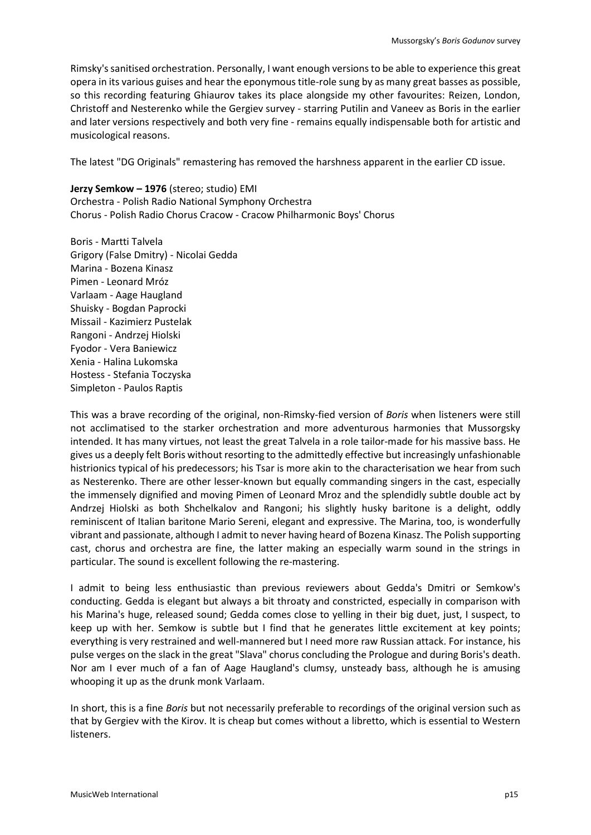Rimsky's sanitised orchestration. Personally, I want enough versions to be able to experience this great opera in its various guises and hear the eponymous title-role sung by as many great basses as possible, so this recording featuring Ghiaurov takes its place alongside my other favourites: Reizen, London, Christoff and Nesterenko while the Gergiev survey - starring Putilin and Vaneev as Boris in the earlier and later versions respectively and both very fine - remains equally indispensable both for artistic and musicological reasons.

The latest "DG Originals" remastering has removed the harshness apparent in the earlier CD issue.

**Jerzy Semkow – 1976** (stereo; studio) EMI Orchestra - Polish Radio National Symphony Orchestra Chorus - Polish Radio Chorus Cracow - Cracow Philharmonic Boys' Chorus

Boris - Martti Talvela Grigory (False Dmitry) - Nicolai Gedda Marina - Bozena Kinasz Pimen - Leonard Mróz Varlaam - Aage Haugland Shuisky - Bogdan Paprocki Missail - Kazimierz Pustelak Rangoni - Andrzej Hiolski Fyodor - Vera Baniewicz Xenia - Halina Lukomska Hostess - Stefania Toczyska Simpleton - Paulos Raptis

This was a brave recording of the original, non-Rimsky-fied version of *Boris* when listeners were still not acclimatised to the starker orchestration and more adventurous harmonies that Mussorgsky intended. It has many virtues, not least the great Talvela in a role tailor-made for his massive bass. He gives us a deeply felt Boris without resorting to the admittedly effective but increasingly unfashionable histrionics typical of his predecessors; his Tsar is more akin to the characterisation we hear from such as Nesterenko. There are other lesser-known but equally commanding singers in the cast, especially the immensely dignified and moving Pimen of Leonard Mroz and the splendidly subtle double act by Andrzej Hiolski as both Shchelkalov and Rangoni; his slightly husky baritone is a delight, oddly reminiscent of Italian baritone Mario Sereni, elegant and expressive. The Marina, too, is wonderfully vibrant and passionate, although I admit to never having heard of Bozena Kinasz. The Polish supporting cast, chorus and orchestra are fine, the latter making an especially warm sound in the strings in particular. The sound is excellent following the re-mastering.

I admit to being less enthusiastic than previous reviewers about Gedda's Dmitri or Semkow's conducting. Gedda is elegant but always a bit throaty and constricted, especially in comparison with his Marina's huge, released sound; Gedda comes close to yelling in their big duet, just, I suspect, to keep up with her. Semkow is subtle but I find that he generates little excitement at key points; everything is very restrained and well-mannered but I need more raw Russian attack. For instance, his pulse verges on the slack in the great "Slava" chorus concluding the Prologue and during Boris's death. Nor am I ever much of a fan of Aage Haugland's clumsy, unsteady bass, although he is amusing whooping it up as the drunk monk Varlaam.

In short, this is a fine *Boris* but not necessarily preferable to recordings of the original version such as that by Gergiev with the Kirov. It is cheap but comes without a libretto, which is essential to Western listeners.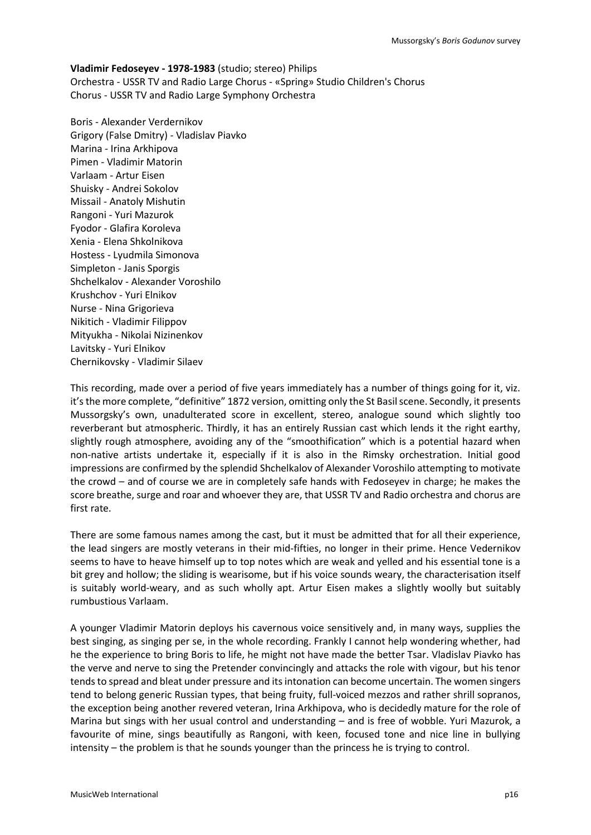# **Vladimir Fedoseyev - 1978-1983** (studio; stereo) Philips Orchestra - USSR TV and Radio Large Chorus - «Spring» Studio Children's Chorus Chorus - USSR TV and Radio Large Symphony Orchestra

Boris - Alexander Verdernikov Grigory (False Dmitry) - Vladislav Piavko Marina - Irina Arkhipova Pimen - Vladimir Matorin Varlaam - Artur Eisen Shuisky - Andrei Sokolov Missail - Anatoly Mishutin Rangoni - Yuri Mazurok Fyodor - Glafira Koroleva Xenia - Elena Shkolnikova Hostess - Lyudmila Simonova Simpleton - Janis Sporgis Shchelkalov - Alexander Voroshilo Krushchov - Yuri Elnikov Nurse - Nina Grigorieva Nikitich - Vladimir Filippov Mityukha - Nikolai Nizinenkov Lavitsky - Yuri Elnikov Chernikovsky - Vladimir Silaev

This recording, made over a period of five years immediately has a number of things going for it, viz. it's the more complete, "definitive" 1872 version, omitting only the St Basil scene. Secondly, it presents Mussorgsky's own, unadulterated score in excellent, stereo, analogue sound which slightly too reverberant but atmospheric. Thirdly, it has an entirely Russian cast which lends it the right earthy, slightly rough atmosphere, avoiding any of the "smoothification" which is a potential hazard when non-native artists undertake it, especially if it is also in the Rimsky orchestration. Initial good impressions are confirmed by the splendid Shchelkalov of Alexander Voroshilo attempting to motivate the crowd – and of course we are in completely safe hands with Fedoseyev in charge; he makes the score breathe, surge and roar and whoever they are, that USSR TV and Radio orchestra and chorus are first rate.

There are some famous names among the cast, but it must be admitted that for all their experience, the lead singers are mostly veterans in their mid-fifties, no longer in their prime. Hence Vedernikov seems to have to heave himself up to top notes which are weak and yelled and his essential tone is a bit grey and hollow; the sliding is wearisome, but if his voice sounds weary, the characterisation itself is suitably world-weary, and as such wholly apt. Artur Eisen makes a slightly woolly but suitably rumbustious Varlaam.

A younger Vladimir Matorin deploys his cavernous voice sensitively and, in many ways, supplies the best singing, as singing per se, in the whole recording. Frankly I cannot help wondering whether, had he the experience to bring Boris to life, he might not have made the better Tsar. Vladislav Piavko has the verve and nerve to sing the Pretender convincingly and attacks the role with vigour, but his tenor tends to spread and bleat under pressure and its intonation can become uncertain. The women singers tend to belong generic Russian types, that being fruity, full-voiced mezzos and rather shrill sopranos, the exception being another revered veteran, Irina Arkhipova, who is decidedly mature for the role of Marina but sings with her usual control and understanding – and is free of wobble. Yuri Mazurok, a favourite of mine, sings beautifully as Rangoni, with keen, focused tone and nice line in bullying intensity – the problem is that he sounds younger than the princess he is trying to control.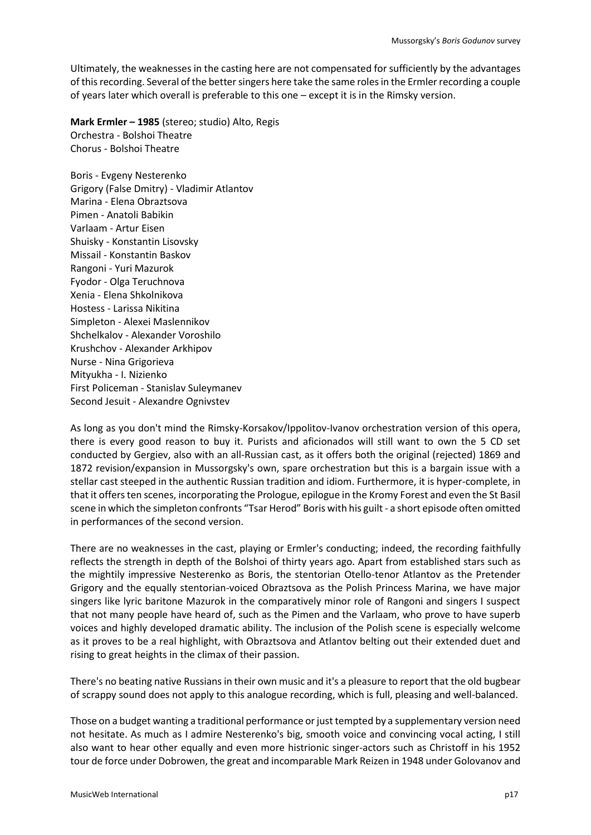Ultimately, the weaknesses in the casting here are not compensated for sufficiently by the advantages of this recording. Several of the better singers here take the same roles in the Ermler recording a couple of years later which overall is preferable to this one – except it is in the Rimsky version.

**Mark Ermler – 1985** (stereo; studio) Alto, Regis Orchestra - Bolshoi Theatre Chorus - Bolshoi Theatre

Boris - Evgeny Nesterenko Grigory (False Dmitry) - Vladimir Atlantov Marina - Elena Obraztsova Pimen - Anatoli Babikin Varlaam - Artur Eisen Shuisky - Konstantin Lisovsky Missail - Konstantin Baskov Rangoni - Yuri Mazurok Fyodor - Olga Teruchnova Xenia - Elena Shkolnikova Hostess - Larissa Nikitina Simpleton - Alexei Maslennikov Shchelkalov - Alexander Voroshilo Krushchov - Alexander Arkhipov Nurse - Nina Grigorieva Mityukha - I. Nizienko First Policeman - Stanislav Suleymanev Second Jesuit - Alexandre Ognivstev

As long as you don't mind the Rimsky-Korsakov/Ippolitov-Ivanov orchestration version of this opera, there is every good reason to buy it. Purists and aficionados will still want to own the 5 CD set conducted by Gergiev, also with an all-Russian cast, as it offers both the original (rejected) 1869 and 1872 revision/expansion in Mussorgsky's own, spare orchestration but this is a bargain issue with a stellar cast steeped in the authentic Russian tradition and idiom. Furthermore, it is hyper-complete, in that it offers ten scenes, incorporating the Prologue, epilogue in the Kromy Forest and even the St Basil scene in which the simpleton confronts "Tsar Herod" Boris with his guilt - a short episode often omitted in performances of the second version.

There are no weaknesses in the cast, playing or Ermler's conducting; indeed, the recording faithfully reflects the strength in depth of the Bolshoi of thirty years ago. Apart from established stars such as the mightily impressive Nesterenko as Boris, the stentorian Otello-tenor Atlantov as the Pretender Grigory and the equally stentorian-voiced Obraztsova as the Polish Princess Marina, we have major singers like lyric baritone Mazurok in the comparatively minor role of Rangoni and singers I suspect that not many people have heard of, such as the Pimen and the Varlaam, who prove to have superb voices and highly developed dramatic ability. The inclusion of the Polish scene is especially welcome as it proves to be a real highlight, with Obraztsova and Atlantov belting out their extended duet and rising to great heights in the climax of their passion.

There's no beating native Russians in their own music and it's a pleasure to report that the old bugbear of scrappy sound does not apply to this analogue recording, which is full, pleasing and well-balanced.

Those on a budget wanting a traditional performance or just tempted by a supplementary version need not hesitate. As much as I admire Nesterenko's big, smooth voice and convincing vocal acting, I still also want to hear other equally and even more histrionic singer-actors such as Christoff in his 1952 tour de force under Dobrowen, the great and incomparable Mark Reizen in 1948 under Golovanov and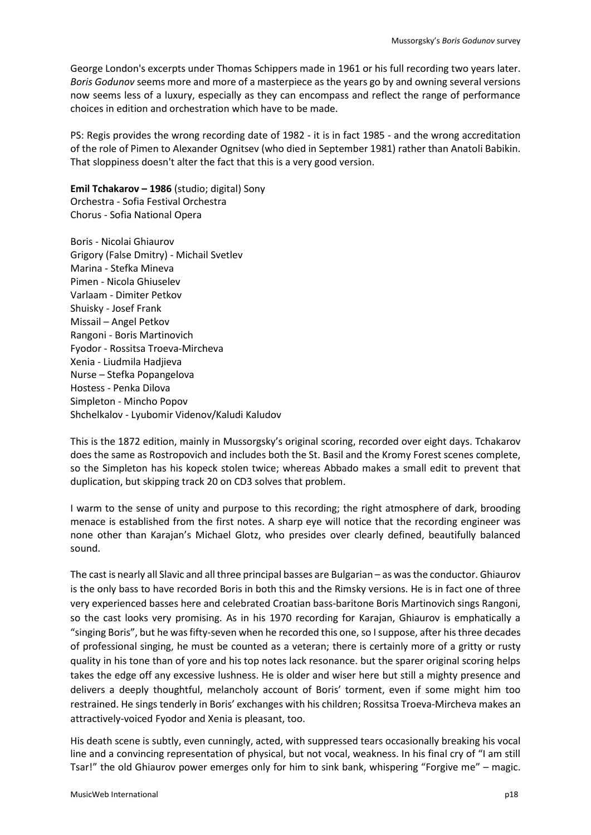George London's excerpts under Thomas Schippers made in 1961 or his full recording two years later. *Boris Godunov* seems more and more of a masterpiece as the years go by and owning several versions now seems less of a luxury, especially as they can encompass and reflect the range of performance choices in edition and orchestration which have to be made.

PS: Regis provides the wrong recording date of 1982 - it is in fact 1985 - and the wrong accreditation of the role of Pimen to Alexander Ognitsev (who died in September 1981) rather than Anatoli Babikin. That sloppiness doesn't alter the fact that this is a very good version.

**Emil Tchakarov – 1986** (studio; digital) Sony Orchestra - Sofia Festival Orchestra Chorus - Sofia National Opera

Boris - Nicolai Ghiaurov Grigory (False Dmitry) - Michail Svetlev Marina - Stefka Mineva Pimen - Nicola Ghiuselev Varlaam - Dimiter Petkov Shuisky - Josef Frank Missail – Angel Petkov Rangoni - Boris Martinovich Fyodor - Rossitsa Troeva-Mircheva Xenia - Liudmila Hadjieva Nurse – Stefka Popangelova Hostess - Penka Dilova Simpleton - Mincho Popov Shchelkalov - Lyubomir Videnov/Kaludi Kaludov

This is the 1872 edition, mainly in Mussorgsky's original scoring, recorded over eight days. Tchakarov does the same as Rostropovich and includes both the St. Basil and the Kromy Forest scenes complete, so the Simpleton has his kopeck stolen twice; whereas Abbado makes a small edit to prevent that duplication, but skipping track 20 on CD3 solves that problem.

I warm to the sense of unity and purpose to this recording; the right atmosphere of dark, brooding menace is established from the first notes. A sharp eye will notice that the recording engineer was none other than Karajan's Michael Glotz, who presides over clearly defined, beautifully balanced sound.

The cast is nearly all Slavic and all three principal basses are Bulgarian – as was the conductor. Ghiaurov is the only bass to have recorded Boris in both this and the Rimsky versions. He is in fact one of three very experienced basses here and celebrated Croatian bass-baritone Boris Martinovich sings Rangoni, so the cast looks very promising. As in his 1970 recording for Karajan, Ghiaurov is emphatically a "singing Boris", but he wasfifty-seven when he recorded this one, so I suppose, after his three decades of professional singing, he must be counted as a veteran; there is certainly more of a gritty or rusty quality in his tone than of yore and his top notes lack resonance. but the sparer original scoring helps takes the edge off any excessive lushness. He is older and wiser here but still a mighty presence and delivers a deeply thoughtful, melancholy account of Boris' torment, even if some might him too restrained. He sings tenderly in Boris' exchanges with his children; Rossitsa Troeva-Mircheva makes an attractively-voiced Fyodor and Xenia is pleasant, too.

His death scene is subtly, even cunningly, acted, with suppressed tears occasionally breaking his vocal line and a convincing representation of physical, but not vocal, weakness. In his final cry of "I am still Tsar!" the old Ghiaurov power emerges only for him to sink bank, whispering "Forgive me" – magic.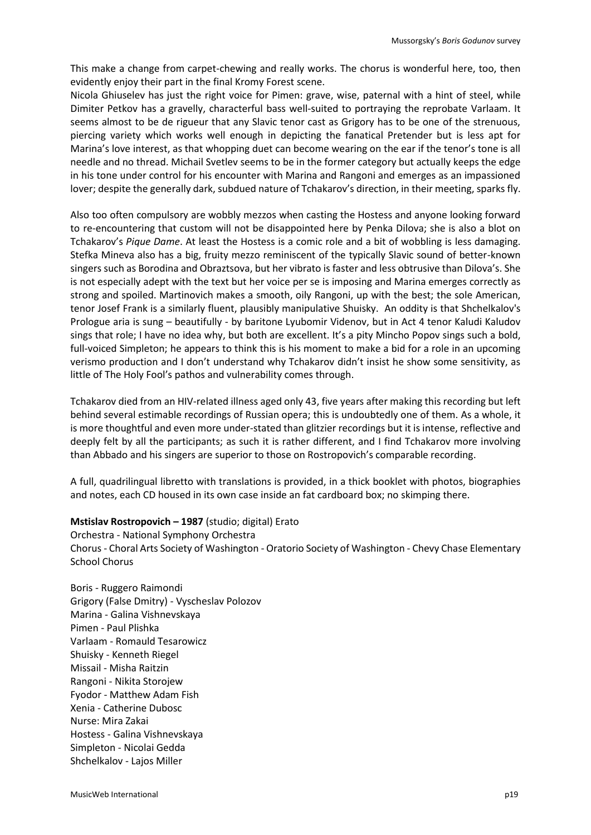This make a change from carpet-chewing and really works. The chorus is wonderful here, too, then evidently enjoy their part in the final Kromy Forest scene.

Nicola Ghiuselev has just the right voice for Pimen: grave, wise, paternal with a hint of steel, while Dimiter Petkov has a gravelly, characterful bass well-suited to portraying the reprobate Varlaam. It seems almost to be de rigueur that any Slavic tenor cast as Grigory has to be one of the strenuous, piercing variety which works well enough in depicting the fanatical Pretender but is less apt for Marina's love interest, as that whopping duet can become wearing on the ear if the tenor's tone is all needle and no thread. Michail Svetlev seems to be in the former category but actually keeps the edge in his tone under control for his encounter with Marina and Rangoni and emerges as an impassioned lover; despite the generally dark, subdued nature of Tchakarov's direction, in their meeting, sparks fly.

Also too often compulsory are wobbly mezzos when casting the Hostess and anyone looking forward to re-encountering that custom will not be disappointed here by Penka Dilova; she is also a blot on Tchakarov's *Pique Dame*. At least the Hostess is a comic role and a bit of wobbling is less damaging. Stefka Mineva also has a big, fruity mezzo reminiscent of the typically Slavic sound of better-known singers such as Borodina and Obraztsova, but her vibrato is faster and less obtrusive than Dilova's. She is not especially adept with the text but her voice per se is imposing and Marina emerges correctly as strong and spoiled. Martinovich makes a smooth, oily Rangoni, up with the best; the sole American, tenor Josef Frank is a similarly fluent, plausibly manipulative Shuisky. An oddity is that Shchelkalov's Prologue aria is sung – beautifully - by baritone Lyubomir Videnov, but in Act 4 tenor Kaludi Kaludov sings that role; I have no idea why, but both are excellent. It's a pity Mincho Popov sings such a bold, full-voiced Simpleton; he appears to think this is his moment to make a bid for a role in an upcoming verismo production and I don't understand why Tchakarov didn't insist he show some sensitivity, as little of The Holy Fool's pathos and vulnerability comes through.

Tchakarov died from an HIV-related illness aged only 43, five years after making this recording but left behind several estimable recordings of Russian opera; this is undoubtedly one of them. As a whole, it is more thoughtful and even more under-stated than glitzier recordings but it is intense, reflective and deeply felt by all the participants; as such it is rather different, and I find Tchakarov more involving than Abbado and his singers are superior to those on Rostropovich's comparable recording.

A full, quadrilingual libretto with translations is provided, in a thick booklet with photos, biographies and notes, each CD housed in its own case inside an fat cardboard box; no skimping there.

## **Mstislav Rostropovich – 1987** (studio; digital) Erato

Orchestra - National Symphony Orchestra Chorus - Choral Arts Society of Washington - Oratorio Society of Washington - Chevy Chase Elementary School Chorus

Boris - Ruggero Raimondi Grigory (False Dmitry) - Vyscheslav Polozov Marina - Galina Vishnevskaya Pimen - Paul Plishka Varlaam - Romauld Tesarowicz Shuisky - Kenneth Riegel Missail - Misha Raitzin Rangoni - Nikita Storojew Fyodor - Matthew Adam Fish Xenia - Catherine Dubosc Nurse: Mira Zakai Hostess - Galina Vishnevskaya Simpleton - Nicolai Gedda Shchelkalov - Lajos Miller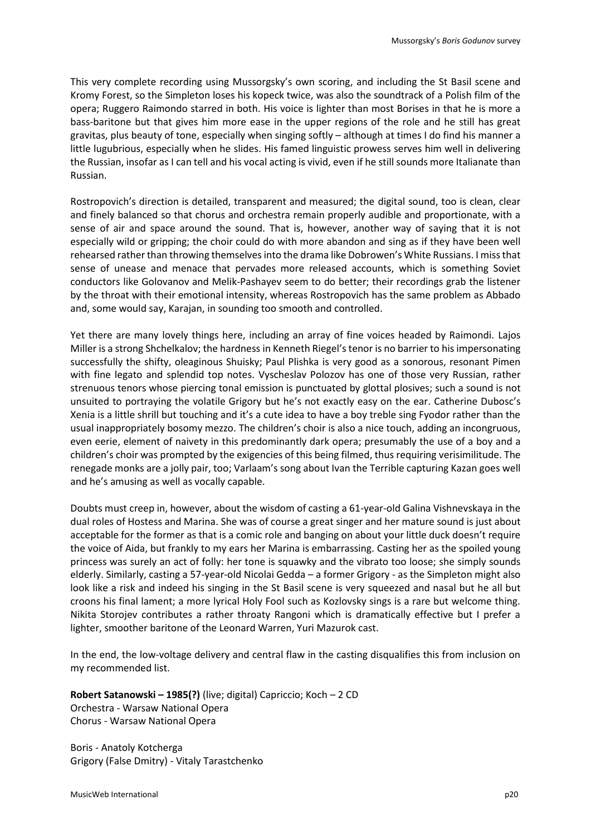This very complete recording using Mussorgsky's own scoring, and including the St Basil scene and Kromy Forest, so the Simpleton loses his kopeck twice, was also the soundtrack of a Polish film of the opera; Ruggero Raimondo starred in both. His voice is lighter than most Borises in that he is more a bass-baritone but that gives him more ease in the upper regions of the role and he still has great gravitas, plus beauty of tone, especially when singing softly – although at times I do find his manner a little lugubrious, especially when he slides. His famed linguistic prowess serves him well in delivering the Russian, insofar as I can tell and his vocal acting is vivid, even if he still sounds more Italianate than Russian.

Rostropovich's direction is detailed, transparent and measured; the digital sound, too is clean, clear and finely balanced so that chorus and orchestra remain properly audible and proportionate, with a sense of air and space around the sound. That is, however, another way of saying that it is not especially wild or gripping; the choir could do with more abandon and sing as if they have been well rehearsed rather than throwing themselves into the drama like Dobrowen's White Russians. I miss that sense of unease and menace that pervades more released accounts, which is something Soviet conductors like Golovanov and Melik-Pashayev seem to do better; their recordings grab the listener by the throat with their emotional intensity, whereas Rostropovich has the same problem as Abbado and, some would say, Karajan, in sounding too smooth and controlled.

Yet there are many lovely things here, including an array of fine voices headed by Raimondi. Lajos Miller is a strong Shchelkalov; the hardness in Kenneth Riegel's tenor is no barrier to his impersonating successfully the shifty, oleaginous Shuisky; Paul Plishka is very good as a sonorous, resonant Pimen with fine legato and splendid top notes. Vyscheslav Polozov has one of those very Russian, rather strenuous tenors whose piercing tonal emission is punctuated by glottal plosives; such a sound is not unsuited to portraying the volatile Grigory but he's not exactly easy on the ear. Catherine Dubosc's Xenia is a little shrill but touching and it's a cute idea to have a boy treble sing Fyodor rather than the usual inappropriately bosomy mezzo. The children's choir is also a nice touch, adding an incongruous, even eerie, element of naivety in this predominantly dark opera; presumably the use of a boy and a children's choir was prompted by the exigencies of this being filmed, thus requiring verisimilitude. The renegade monks are a jolly pair, too; Varlaam's song about Ivan the Terrible capturing Kazan goes well and he's amusing as well as vocally capable.

Doubts must creep in, however, about the wisdom of casting a 61-year-old Galina Vishnevskaya in the dual roles of Hostess and Marina. She was of course a great singer and her mature sound is just about acceptable for the former as that is a comic role and banging on about your little duck doesn't require the voice of Aida, but frankly to my ears her Marina is embarrassing. Casting her as the spoiled young princess was surely an act of folly: her tone is squawky and the vibrato too loose; she simply sounds elderly. Similarly, casting a 57-year-old Nicolai Gedda – a former Grigory - as the Simpleton might also look like a risk and indeed his singing in the St Basil scene is very squeezed and nasal but he all but croons his final lament; a more lyrical Holy Fool such as Kozlovsky sings is a rare but welcome thing. Nikita Storojev contributes a rather throaty Rangoni which is dramatically effective but I prefer a lighter, smoother baritone of the Leonard Warren, Yuri Mazurok cast.

In the end, the low-voltage delivery and central flaw in the casting disqualifies this from inclusion on my recommended list.

**Robert Satanowski – 1985(?)** (live; digital) Capriccio; Koch – 2 CD Orchestra - Warsaw National Opera Chorus - Warsaw National Opera

Boris - Anatoly Kotcherga Grigory (False Dmitry) - Vitaly Tarastchenko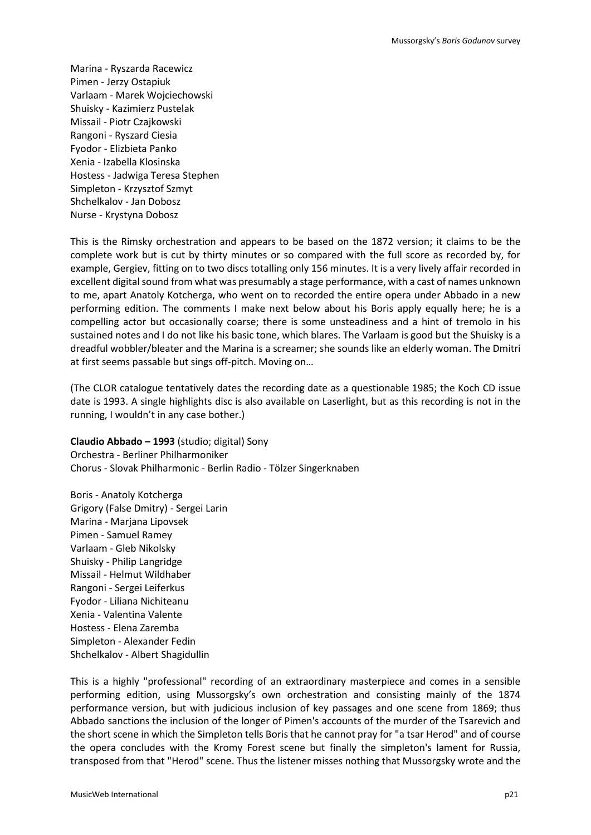Marina - Ryszarda Racewicz Pimen - Jerzy Ostapiuk Varlaam - Marek Wojciechowski Shuisky - Kazimierz Pustelak Missail - Piotr Czajkowski Rangoni - Ryszard Ciesia Fyodor - Elizbieta Panko Xenia - Izabella Klosinska Hostess - Jadwiga Teresa Stephen Simpleton - Krzysztof Szmyt Shchelkalov - Jan Dobosz Nurse - Krystyna Dobosz

This is the Rimsky orchestration and appears to be based on the 1872 version; it claims to be the complete work but is cut by thirty minutes or so compared with the full score as recorded by, for example, Gergiev, fitting on to two discs totalling only 156 minutes. It is a very lively affair recorded in excellent digital sound from what was presumably a stage performance, with a cast of names unknown to me, apart Anatoly Kotcherga, who went on to recorded the entire opera under Abbado in a new performing edition. The comments I make next below about his Boris apply equally here; he is a compelling actor but occasionally coarse; there is some unsteadiness and a hint of tremolo in his sustained notes and I do not like his basic tone, which blares. The Varlaam is good but the Shuisky is a dreadful wobbler/bleater and the Marina is a screamer; she sounds like an elderly woman. The Dmitri at first seems passable but sings off-pitch. Moving on…

(The CLOR catalogue tentatively dates the recording date as a questionable 1985; the Koch CD issue date is 1993. A single highlights disc is also available on Laserlight, but as this recording is not in the running, I wouldn't in any case bother.)

**Claudio Abbado – 1993** (studio; digital) Sony Orchestra - Berliner Philharmoniker Chorus - Slovak Philharmonic - Berlin Radio - Tölzer Singerknaben

Boris - Anatoly Kotcherga Grigory (False Dmitry) - Sergei Larin Marina - Marjana Lipovsek Pimen - Samuel Ramey Varlaam - Gleb Nikolsky Shuisky - Philip Langridge Missail - Helmut Wildhaber Rangoni - Sergei Leiferkus Fyodor - Liliana Nichiteanu Xenia - Valentina Valente Hostess - Elena Zaremba Simpleton - Alexander Fedin Shchelkalov - Albert Shagidullin

This is a highly "professional" recording of an extraordinary masterpiece and comes in a sensible performing edition, using Mussorgsky's own orchestration and consisting mainly of the 1874 performance version, but with judicious inclusion of key passages and one scene from 1869; thus Abbado sanctions the inclusion of the longer of Pimen's accounts of the murder of the Tsarevich and the short scene in which the Simpleton tells Boris that he cannot pray for "a tsar Herod" and of course the opera concludes with the Kromy Forest scene but finally the simpleton's lament for Russia, transposed from that "Herod" scene. Thus the listener misses nothing that Mussorgsky wrote and the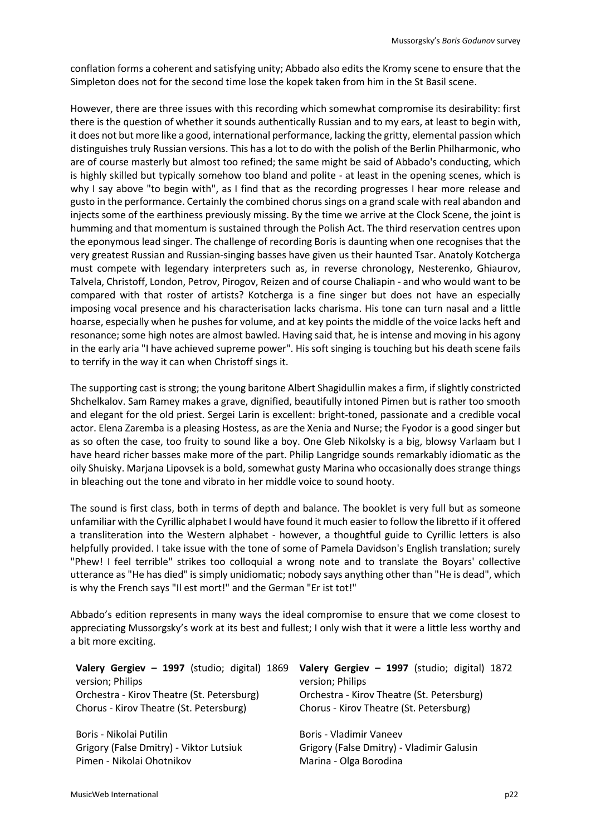conflation forms a coherent and satisfying unity; Abbado also edits the Kromy scene to ensure that the Simpleton does not for the second time lose the kopek taken from him in the St Basil scene.

However, there are three issues with this recording which somewhat compromise its desirability: first there is the question of whether it sounds authentically Russian and to my ears, at least to begin with, it does not but more like a good, international performance, lacking the gritty, elemental passion which distinguishes truly Russian versions. This has a lot to do with the polish of the Berlin Philharmonic, who are of course masterly but almost too refined; the same might be said of Abbado's conducting, which is highly skilled but typically somehow too bland and polite - at least in the opening scenes, which is why I say above "to begin with", as I find that as the recording progresses I hear more release and gusto in the performance. Certainly the combined chorus sings on a grand scale with real abandon and injects some of the earthiness previously missing. By the time we arrive at the Clock Scene, the joint is humming and that momentum is sustained through the Polish Act. The third reservation centres upon the eponymous lead singer. The challenge of recording Boris is daunting when one recognises that the very greatest Russian and Russian-singing basses have given us their haunted Tsar. Anatoly Kotcherga must compete with legendary interpreters such as, in reverse chronology, Nesterenko, Ghiaurov, Talvela, Christoff, London, Petrov, Pirogov, Reizen and of course Chaliapin - and who would want to be compared with that roster of artists? Kotcherga is a fine singer but does not have an especially imposing vocal presence and his characterisation lacks charisma. His tone can turn nasal and a little hoarse, especially when he pushes for volume, and at key points the middle of the voice lacks heft and resonance; some high notes are almost bawled. Having said that, he is intense and moving in his agony in the early aria "I have achieved supreme power". His soft singing is touching but his death scene fails to terrify in the way it can when Christoff sings it.

The supporting cast is strong; the young baritone Albert Shagidullin makes a firm, if slightly constricted Shchelkalov. Sam Ramey makes a grave, dignified, beautifully intoned Pimen but is rather too smooth and elegant for the old priest. Sergei Larin is excellent: bright-toned, passionate and a credible vocal actor. Elena Zaremba is a pleasing Hostess, as are the Xenia and Nurse; the Fyodor is a good singer but as so often the case, too fruity to sound like a boy. One Gleb Nikolsky is a big, blowsy Varlaam but I have heard richer basses make more of the part. Philip Langridge sounds remarkably idiomatic as the oily Shuisky. Marjana Lipovsek is a bold, somewhat gusty Marina who occasionally does strange things in bleaching out the tone and vibrato in her middle voice to sound hooty.

The sound is first class, both in terms of depth and balance. The booklet is very full but as someone unfamiliar with the Cyrillic alphabet I would have found it much easier to follow the libretto if it offered a transliteration into the Western alphabet - however, a thoughtful guide to Cyrillic letters is also helpfully provided. I take issue with the tone of some of Pamela Davidson's English translation; surely "Phew! I feel terrible" strikes too colloquial a wrong note and to translate the Boyars' collective utterance as "He has died" is simply unidiomatic; nobody says anything other than "He is dead", which is why the French says "Il est mort!" and the German "Er ist tot!"

Abbado's edition represents in many ways the ideal compromise to ensure that we come closest to appreciating Mussorgsky's work at its best and fullest; I only wish that it were a little less worthy and a bit more exciting.

| Valery Gergiev - 1997 (studio; digital) $1869$ | Valery Gergiev - 1997 (studio; digital) 1872 |
|------------------------------------------------|----------------------------------------------|
| version; Philips                               | version; Philips                             |
| Orchestra - Kirov Theatre (St. Petersburg)     | Orchestra - Kirov Theatre (St. Petersburg)   |
| Chorus - Kirov Theatre (St. Petersburg)        | Chorus - Kirov Theatre (St. Petersburg)      |
| Boris - Nikolai Putilin                        | Boris - Vladimir Vaneev                      |
| Grigory (False Dmitry) - Viktor Lutsiuk        | Grigory (False Dmitry) - Vladimir Galusin    |
| Pimen - Nikolai Ohotnikov                      | Marina - Olga Borodina                       |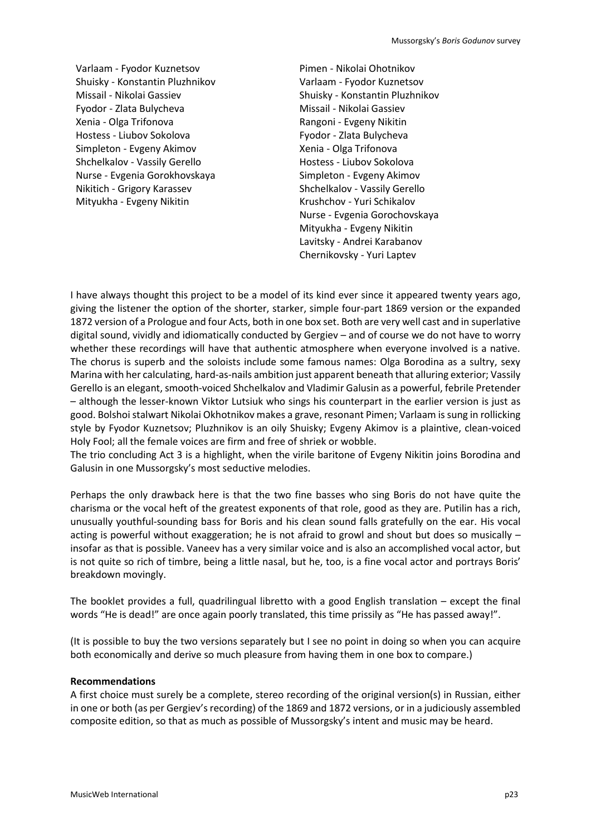Varlaam - Fyodor Kuznetsov Shuisky - Konstantin Pluzhnikov Missail - Nikolai Gassiev Fyodor - Zlata Bulycheva Xenia - Olga Trifonova Hostess - Liubov Sokolova Simpleton - Evgeny Akimov Shchelkalov - Vassily Gerello Nurse - Evgenia Gorokhovskaya Nikitich - Grigory Karassev Mityukha - Evgeny Nikitin

Pimen - Nikolai Ohotnikov Varlaam - Fyodor Kuznetsov Shuisky - Konstantin Pluzhnikov Missail - Nikolai Gassiev Rangoni - Evgeny Nikitin Fyodor - Zlata Bulycheva Xenia - Olga Trifonova Hostess - Liubov Sokolova Simpleton - Evgeny Akimov Shchelkalov - Vassily Gerello Krushchov - Yuri Schikalov Nurse - Evgenia Gorochovskaya Mityukha - Evgeny Nikitin Lavitsky - Andrei Karabanov Chernikovsky - Yuri Laptev

I have always thought this project to be a model of its kind ever since it appeared twenty years ago, giving the listener the option of the shorter, starker, simple four-part 1869 version or the expanded 1872 version of a Prologue and four Acts, both in one box set. Both are very well cast and in superlative digital sound, vividly and idiomatically conducted by Gergiev – and of course we do not have to worry whether these recordings will have that authentic atmosphere when everyone involved is a native. The chorus is superb and the soloists include some famous names: Olga Borodina as a sultry, sexy Marina with her calculating, hard-as-nails ambition just apparent beneath that alluring exterior; Vassily Gerello is an elegant, smooth-voiced Shchelkalov and Vladimir Galusin as a powerful, febrile Pretender – although the lesser-known Viktor Lutsiuk who sings his counterpart in the earlier version is just as good. Bolshoi stalwart Nikolai Okhotnikov makes a grave, resonant Pimen; Varlaam is sung in rollicking style by Fyodor Kuznetsov; Pluzhnikov is an oily Shuisky; Evgeny Akimov is a plaintive, clean-voiced Holy Fool; all the female voices are firm and free of shriek or wobble.

The trio concluding Act 3 is a highlight, when the virile baritone of Evgeny Nikitin joins Borodina and Galusin in one Mussorgsky's most seductive melodies.

Perhaps the only drawback here is that the two fine basses who sing Boris do not have quite the charisma or the vocal heft of the greatest exponents of that role, good as they are. Putilin has a rich, unusually youthful-sounding bass for Boris and his clean sound falls gratefully on the ear. His vocal acting is powerful without exaggeration; he is not afraid to growl and shout but does so musically – insofar as that is possible. Vaneev has a very similar voice and is also an accomplished vocal actor, but is not quite so rich of timbre, being a little nasal, but he, too, is a fine vocal actor and portrays Boris' breakdown movingly.

The booklet provides a full, quadrilingual libretto with a good English translation – except the final words "He is dead!" are once again poorly translated, this time prissily as "He has passed away!".

(It is possible to buy the two versions separately but I see no point in doing so when you can acquire both economically and derive so much pleasure from having them in one box to compare.)

## **Recommendations**

A first choice must surely be a complete, stereo recording of the original version(s) in Russian, either in one or both (as per Gergiev's recording) of the 1869 and 1872 versions, or in a judiciously assembled composite edition, so that as much as possible of Mussorgsky's intent and music may be heard.